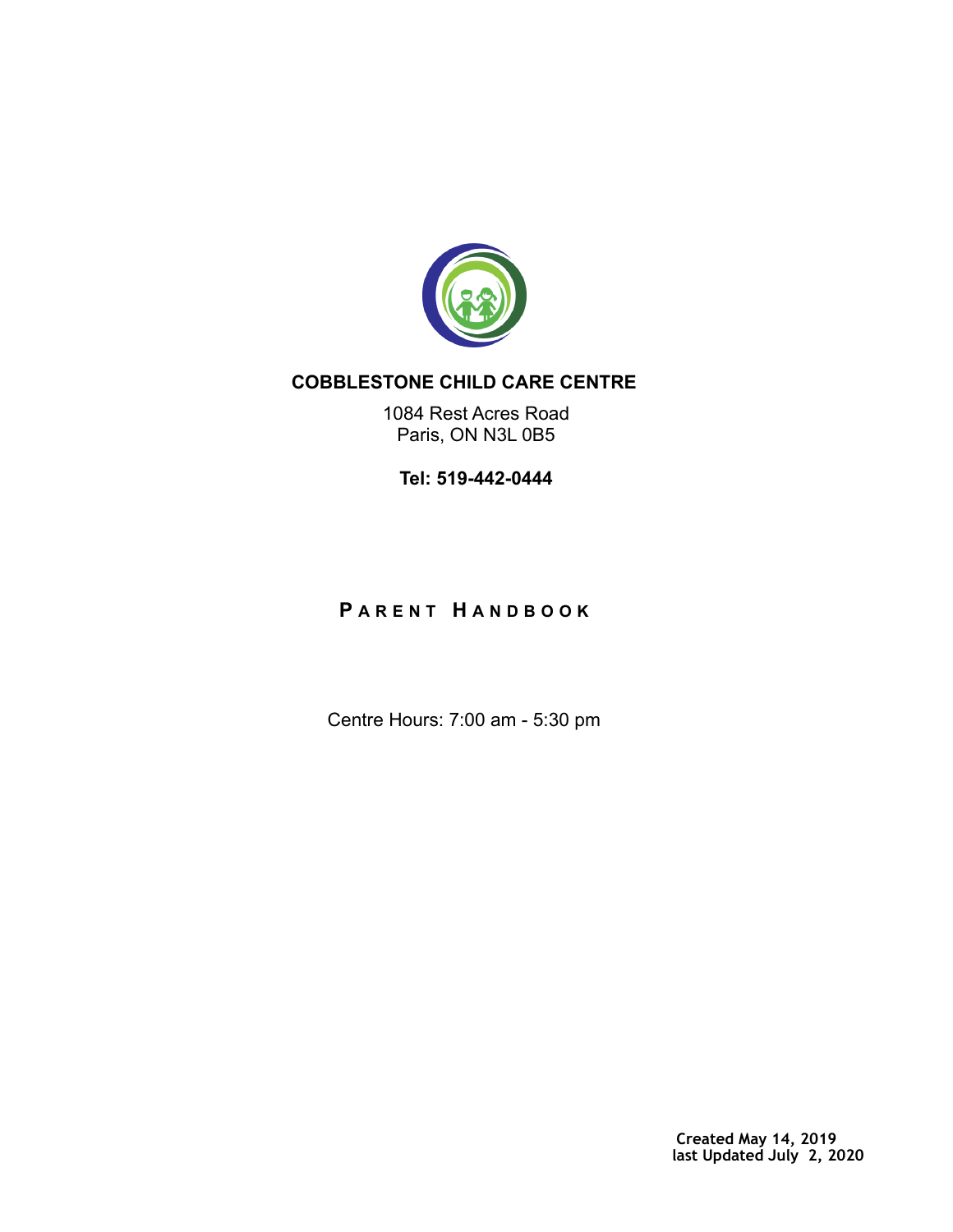

# **COBBLESTONE CHILD CARE CENTRE**

1084 Rest Acres Road Paris, ON N3L 0B5

**Tel: 519-442-0444**

# **P ARENT H ANDBOOK**

Centre Hours: 7:00 am - 5:30 pm

 **Created May 14, 2019 last Updated July 2, 2020**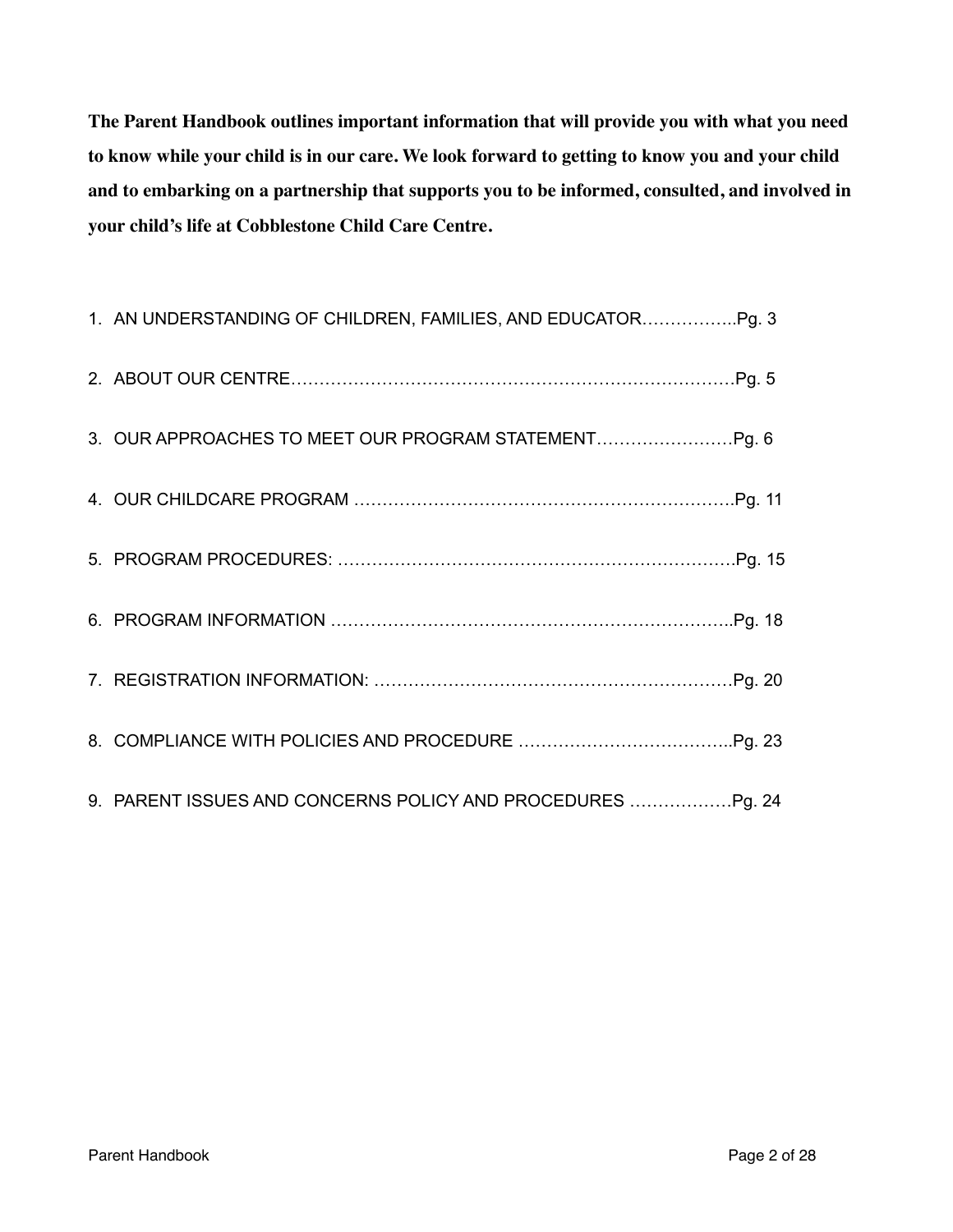**The Parent Handbook outlines important information that will provide you with what you need to know while your child is in our care. We look forward to getting to know you and your child and to embarking on a partnership that supports you to be informed, consulted, and involved in your child's life at Cobblestone Child Care Centre.**

| 1. AN UNDERSTANDING OF CHILDREN, FAMILIES, AND EDUCATORPg. 3 |  |
|--------------------------------------------------------------|--|
|                                                              |  |
|                                                              |  |
|                                                              |  |
|                                                              |  |
|                                                              |  |
|                                                              |  |
|                                                              |  |
|                                                              |  |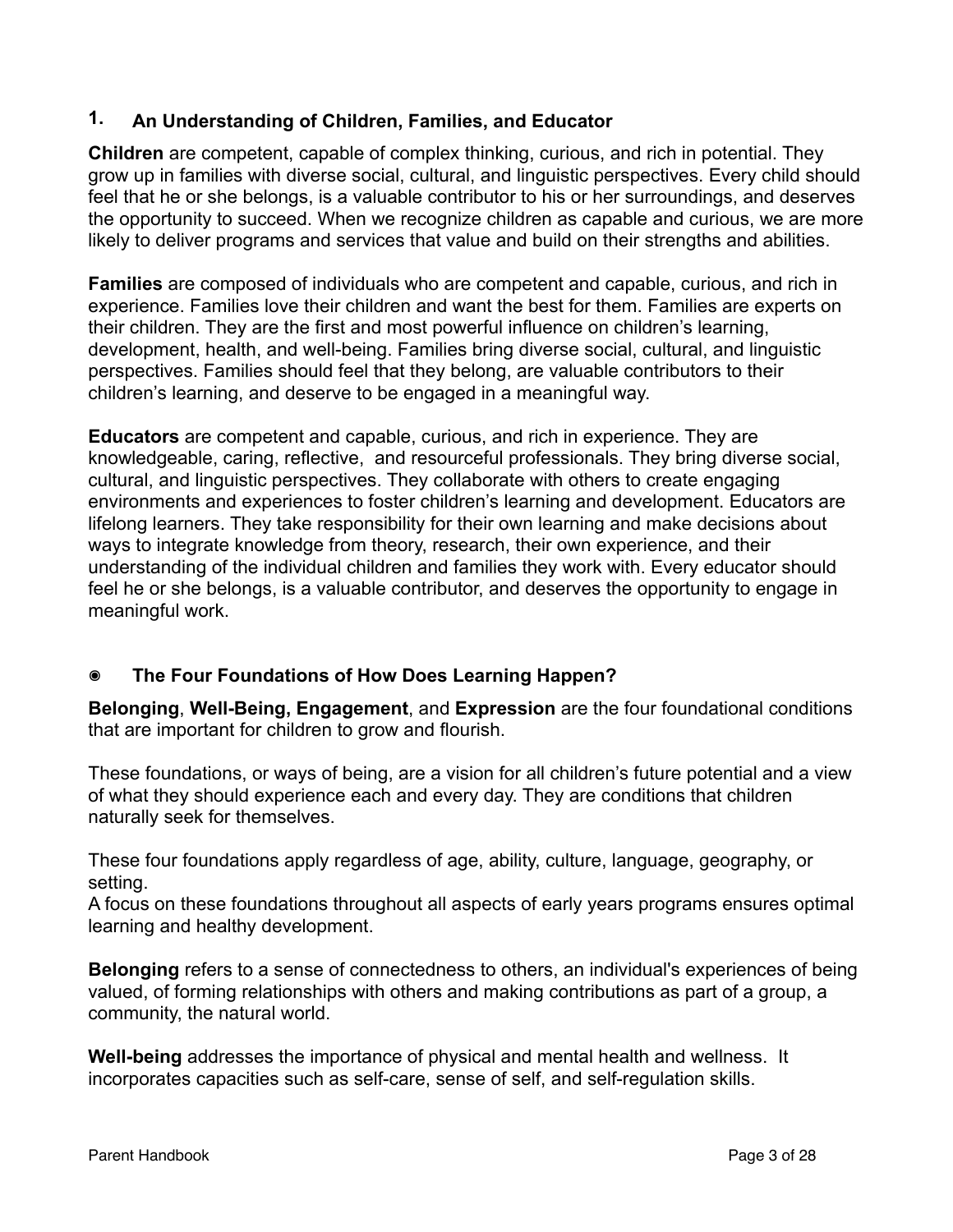# **1. An Understanding of Children, Families, and Educator**

**Children** are competent, capable of complex thinking, curious, and rich in potential. They grow up in families with diverse social, cultural, and linguistic perspectives. Every child should feel that he or she belongs, is a valuable contributor to his or her surroundings, and deserves the opportunity to succeed. When we recognize children as capable and curious, we are more likely to deliver programs and services that value and build on their strengths and abilities.

**Families** are composed of individuals who are competent and capable, curious, and rich in experience. Families love their children and want the best for them. Families are experts on their children. They are the first and most powerful influence on children's learning, development, health, and well-being. Families bring diverse social, cultural, and linguistic perspectives. Families should feel that they belong, are valuable contributors to their children's learning, and deserve to be engaged in a meaningful way.

**Educators** are competent and capable, curious, and rich in experience. They are knowledgeable, caring, reflective, and resourceful professionals. They bring diverse social, cultural, and linguistic perspectives. They collaborate with others to create engaging environments and experiences to foster children's learning and development. Educators are lifelong learners. They take responsibility for their own learning and make decisions about ways to integrate knowledge from theory, research, their own experience, and their understanding of the individual children and families they work with. Every educator should feel he or she belongs, is a valuable contributor, and deserves the opportunity to engage in meaningful work.

# **๏ The Four Foundations of How Does Learning Happen?**

**Belonging**, **Well-Being, Engagement**, and **Expression** are the four foundational conditions that are important for children to grow and flourish.

These foundations, or ways of being, are a vision for all children's future potential and a view of what they should experience each and every day. They are conditions that children naturally seek for themselves.

These four foundations apply regardless of age, ability, culture, language, geography, or setting.

A focus on these foundations throughout all aspects of early years programs ensures optimal learning and healthy development.

**Belonging** refers to a sense of connectedness to others, an individual's experiences of being valued, of forming relationships with others and making contributions as part of a group, a community, the natural world.

**Well-being** addresses the importance of physical and mental health and wellness. It incorporates capacities such as self-care, sense of self, and self-regulation skills.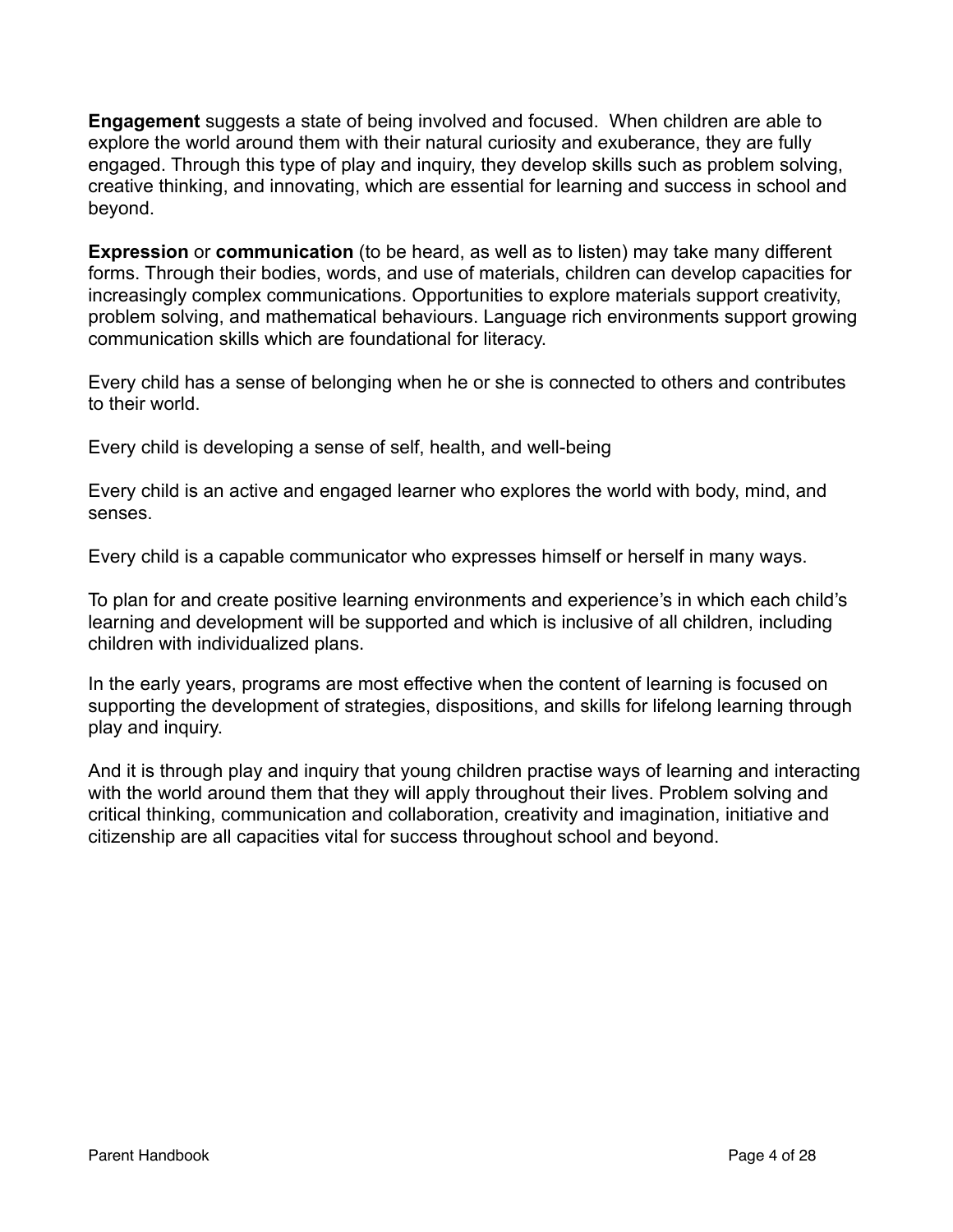**Engagement** suggests a state of being involved and focused. When children are able to explore the world around them with their natural curiosity and exuberance, they are fully engaged. Through this type of play and inquiry, they develop skills such as problem solving, creative thinking, and innovating, which are essential for learning and success in school and beyond.

**Expression** or **communication** (to be heard, as well as to listen) may take many different forms. Through their bodies, words, and use of materials, children can develop capacities for increasingly complex communications. Opportunities to explore materials support creativity, problem solving, and mathematical behaviours. Language rich environments support growing communication skills which are foundational for literacy.

Every child has a sense of belonging when he or she is connected to others and contributes to their world.

Every child is developing a sense of self, health, and well-being

Every child is an active and engaged learner who explores the world with body, mind, and senses.

Every child is a capable communicator who expresses himself or herself in many ways.

To plan for and create positive learning environments and experience's in which each child's learning and development will be supported and which is inclusive of all children, including children with individualized plans.

In the early years, programs are most effective when the content of learning is focused on supporting the development of strategies, dispositions, and skills for lifelong learning through play and inquiry.

And it is through play and inquiry that young children practise ways of learning and interacting with the world around them that they will apply throughout their lives. Problem solving and critical thinking, communication and collaboration, creativity and imagination, initiative and citizenship are all capacities vital for success throughout school and beyond.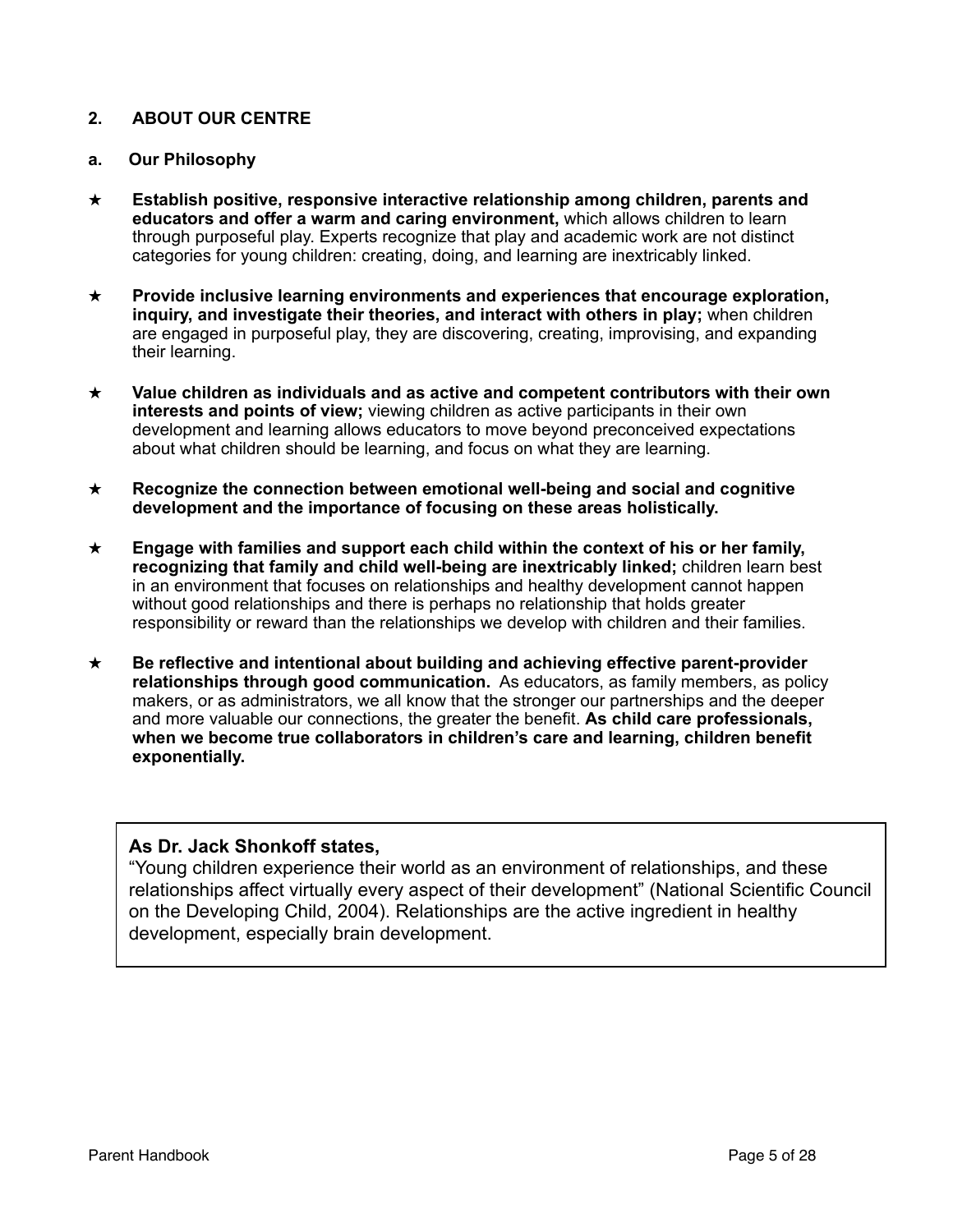# **2. ABOUT OUR CENTRE**

## **a. Our Philosophy**

- ★ **Establish positive, responsive interactive relationship among children, parents and educators and offer a warm and caring environment,** which allows children to learn through purposeful play. Experts recognize that play and academic work are not distinct categories for young children: creating, doing, and learning are inextricably linked.
- ★ **Provide inclusive learning environments and experiences that encourage exploration, inquiry, and investigate their theories, and interact with others in play;** when children are engaged in purposeful play, they are discovering, creating, improvising, and expanding their learning.
- ★ **Value children as individuals and as active and competent contributors with their own interests and points of view;** viewing children as active participants in their own development and learning allows educators to move beyond preconceived expectations about what children should be learning, and focus on what they are learning.
- ★ **Recognize the connection between emotional well-being and social and cognitive development and the importance of focusing on these areas holistically.**
- ★ **Engage with families and support each child within the context of his or her family, recognizing that family and child well-being are inextricably linked;** children learn best in an environment that focuses on relationships and healthy development cannot happen without good relationships and there is perhaps no relationship that holds greater responsibility or reward than the relationships we develop with children and their families.
- ★ **Be reflective and intentional about building and achieving effective parent-provider relationships through good communication.** As educators, as family members, as policy makers, or as administrators, we all know that the stronger our partnerships and the deeper and more valuable our connections, the greater the benefit. **As child care professionals, when we become true collaborators in children's care and learning, children benefit exponentially.**

# **As Dr. Jack Shonkoff states,**

"Young children experience their world as an environment of relationships, and these relationships affect virtually every aspect of their development" (National Scientific Council on the Developing Child, 2004). Relationships are the active ingredient in healthy development, especially brain development.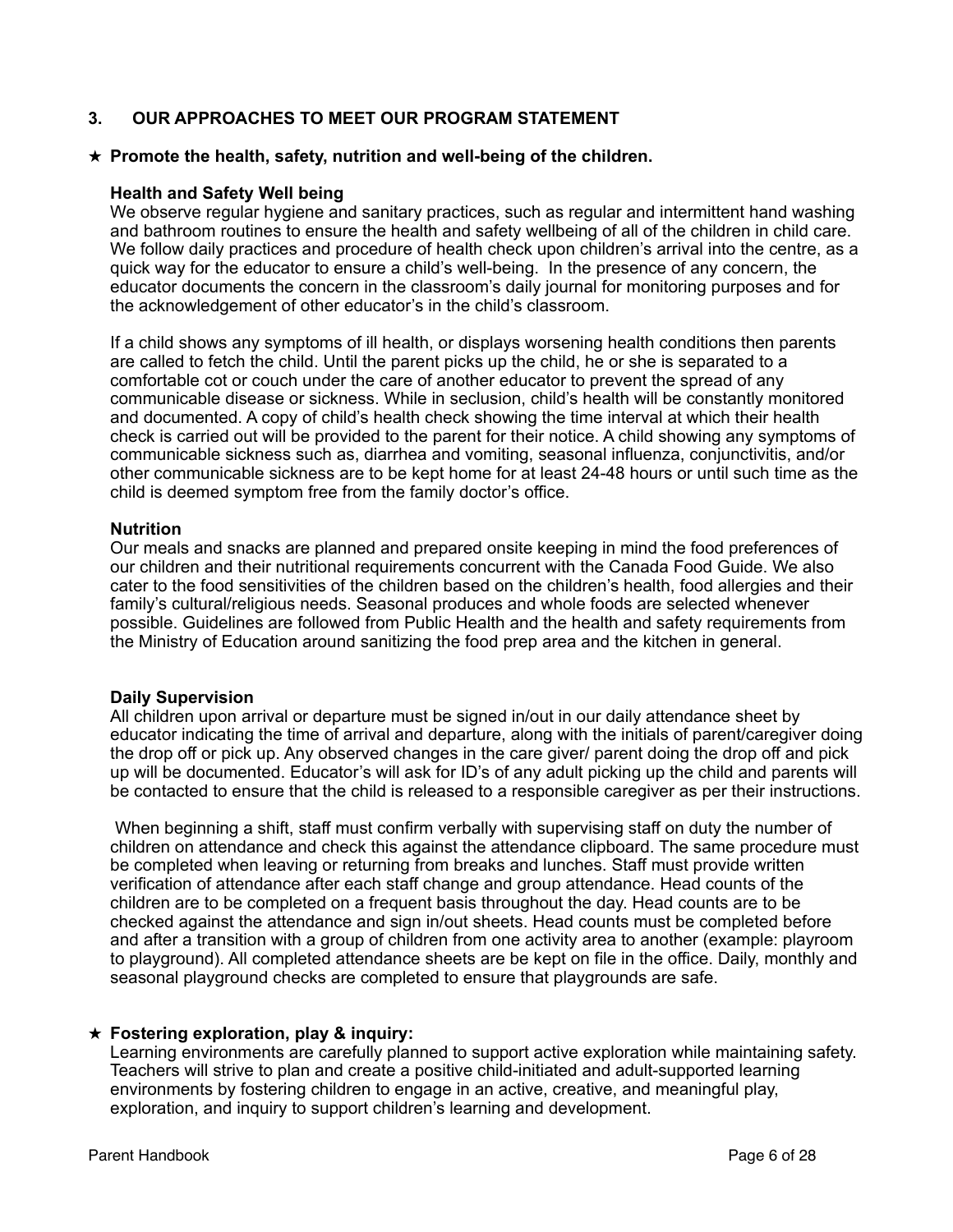## **3. OUR APPROACHES TO MEET OUR PROGRAM STATEMENT**

#### ★ **Promote the health, safety, nutrition and well-being of the children.**

#### **Health and Safety Well being**

We observe regular hygiene and sanitary practices, such as regular and intermittent hand washing and bathroom routines to ensure the health and safety wellbeing of all of the children in child care. We follow daily practices and procedure of health check upon children's arrival into the centre, as a quick way for the educator to ensure a child's well-being. In the presence of any concern, the educator documents the concern in the classroom's daily journal for monitoring purposes and for the acknowledgement of other educator's in the child's classroom.

If a child shows any symptoms of ill health, or displays worsening health conditions then parents are called to fetch the child. Until the parent picks up the child, he or she is separated to a comfortable cot or couch under the care of another educator to prevent the spread of any communicable disease or sickness. While in seclusion, child's health will be constantly monitored and documented. A copy of child's health check showing the time interval at which their health check is carried out will be provided to the parent for their notice. A child showing any symptoms of communicable sickness such as, diarrhea and vomiting, seasonal influenza, conjunctivitis, and/or other communicable sickness are to be kept home for at least 24-48 hours or until such time as the child is deemed symptom free from the family doctor's office.

#### **Nutrition**

Our meals and snacks are planned and prepared onsite keeping in mind the food preferences of our children and their nutritional requirements concurrent with the Canada Food Guide. We also cater to the food sensitivities of the children based on the children's health, food allergies and their family's cultural/religious needs. Seasonal produces and whole foods are selected whenever possible. Guidelines are followed from Public Health and the health and safety requirements from the Ministry of Education around sanitizing the food prep area and the kitchen in general.

#### **Daily Supervision**

All children upon arrival or departure must be signed in/out in our daily attendance sheet by educator indicating the time of arrival and departure, along with the initials of parent/caregiver doing the drop off or pick up. Any observed changes in the care giver/ parent doing the drop off and pick up will be documented. Educator's will ask for ID's of any adult picking up the child and parents will be contacted to ensure that the child is released to a responsible caregiver as per their instructions.

 When beginning a shift, staff must confirm verbally with supervising staff on duty the number of children on attendance and check this against the attendance clipboard. The same procedure must be completed when leaving or returning from breaks and lunches. Staff must provide written verification of attendance after each staff change and group attendance. Head counts of the children are to be completed on a frequent basis throughout the day. Head counts are to be checked against the attendance and sign in/out sheets. Head counts must be completed before and after a transition with a group of children from one activity area to another (example: playroom to playground). All completed attendance sheets are be kept on file in the office. Daily, monthly and seasonal playground checks are completed to ensure that playgrounds are safe.

#### ★ **Fostering exploration, play & inquiry:**

Learning environments are carefully planned to support active exploration while maintaining safety. Teachers will strive to plan and create a positive child-initiated and adult-supported learning environments by fostering children to engage in an active, creative, and meaningful play, exploration, and inquiry to support children's learning and development.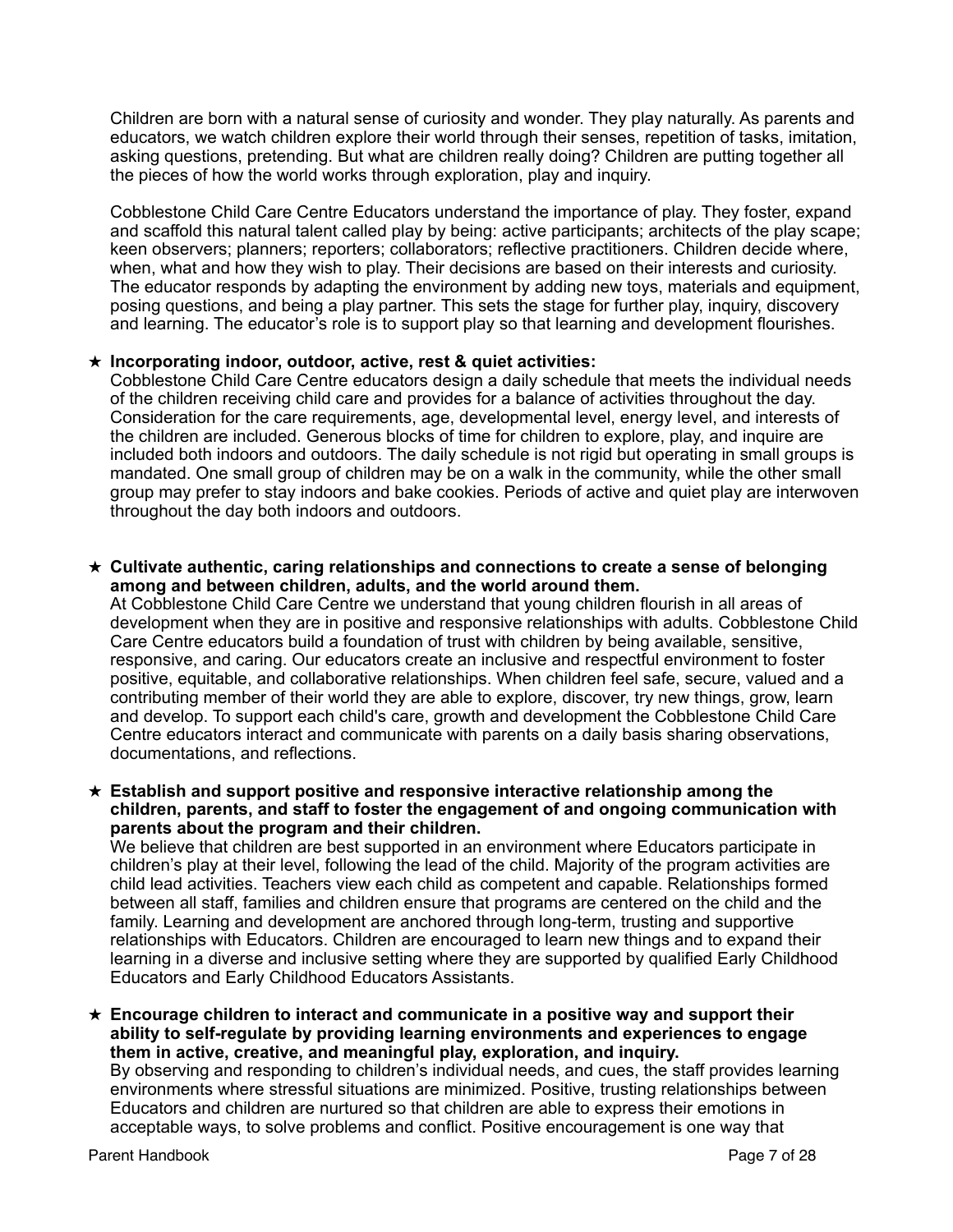Children are born with a natural sense of curiosity and wonder. They play naturally. As parents and educators, we watch children explore their world through their senses, repetition of tasks, imitation, asking questions, pretending. But what are children really doing? Children are putting together all the pieces of how the world works through exploration, play and inquiry.

Cobblestone Child Care Centre Educators understand the importance of play. They foster, expand and scaffold this natural talent called play by being: active participants; architects of the play scape; keen observers; planners; reporters; collaborators; reflective practitioners. Children decide where, when, what and how they wish to play. Their decisions are based on their interests and curiosity. The educator responds by adapting the environment by adding new toys, materials and equipment, posing questions, and being a play partner. This sets the stage for further play, inquiry, discovery and learning. The educator's role is to support play so that learning and development flourishes.

#### ★ **Incorporating indoor, outdoor, active, rest & quiet activities:**

Cobblestone Child Care Centre educators design a daily schedule that meets the individual needs of the children receiving child care and provides for a balance of activities throughout the day. Consideration for the care requirements, age, developmental level, energy level, and interests of the children are included. Generous blocks of time for children to explore, play, and inquire are included both indoors and outdoors. The daily schedule is not rigid but operating in small groups is mandated. One small group of children may be on a walk in the community, while the other small group may prefer to stay indoors and bake cookies. Periods of active and quiet play are interwoven throughout the day both indoors and outdoors.

#### ★ **Cultivate authentic, caring relationships and connections to create a sense of belonging among and between children, adults, and the world around them.**

At Cobblestone Child Care Centre we understand that young children flourish in all areas of development when they are in positive and responsive relationships with adults. Cobblestone Child Care Centre educators build a foundation of trust with children by being available, sensitive, responsive, and caring. Our educators create an inclusive and respectful environment to foster positive, equitable, and collaborative relationships. When children feel safe, secure, valued and a contributing member of their world they are able to explore, discover, try new things, grow, learn and develop. To support each child's care, growth and development the Cobblestone Child Care Centre educators interact and communicate with parents on a daily basis sharing observations, documentations, and reflections.

#### ★ **Establish and support positive and responsive interactive relationship among the children, parents, and staff to foster the engagement of and ongoing communication with parents about the program and their children.**

We believe that children are best supported in an environment where Educators participate in children's play at their level, following the lead of the child. Majority of the program activities are child lead activities. Teachers view each child as competent and capable. Relationships formed between all staff, families and children ensure that programs are centered on the child and the family. Learning and development are anchored through long-term, trusting and supportive relationships with Educators. Children are encouraged to learn new things and to expand their learning in a diverse and inclusive setting where they are supported by qualified Early Childhood Educators and Early Childhood Educators Assistants.

★ **Encourage children to interact and communicate in a positive way and support their ability to self-regulate by providing learning environments and experiences to engage them in active, creative, and meaningful play, exploration, and inquiry.** 

By observing and responding to children's individual needs, and cues, the staff provides learning environments where stressful situations are minimized. Positive, trusting relationships between Educators and children are nurtured so that children are able to express their emotions in acceptable ways, to solve problems and conflict. Positive encouragement is one way that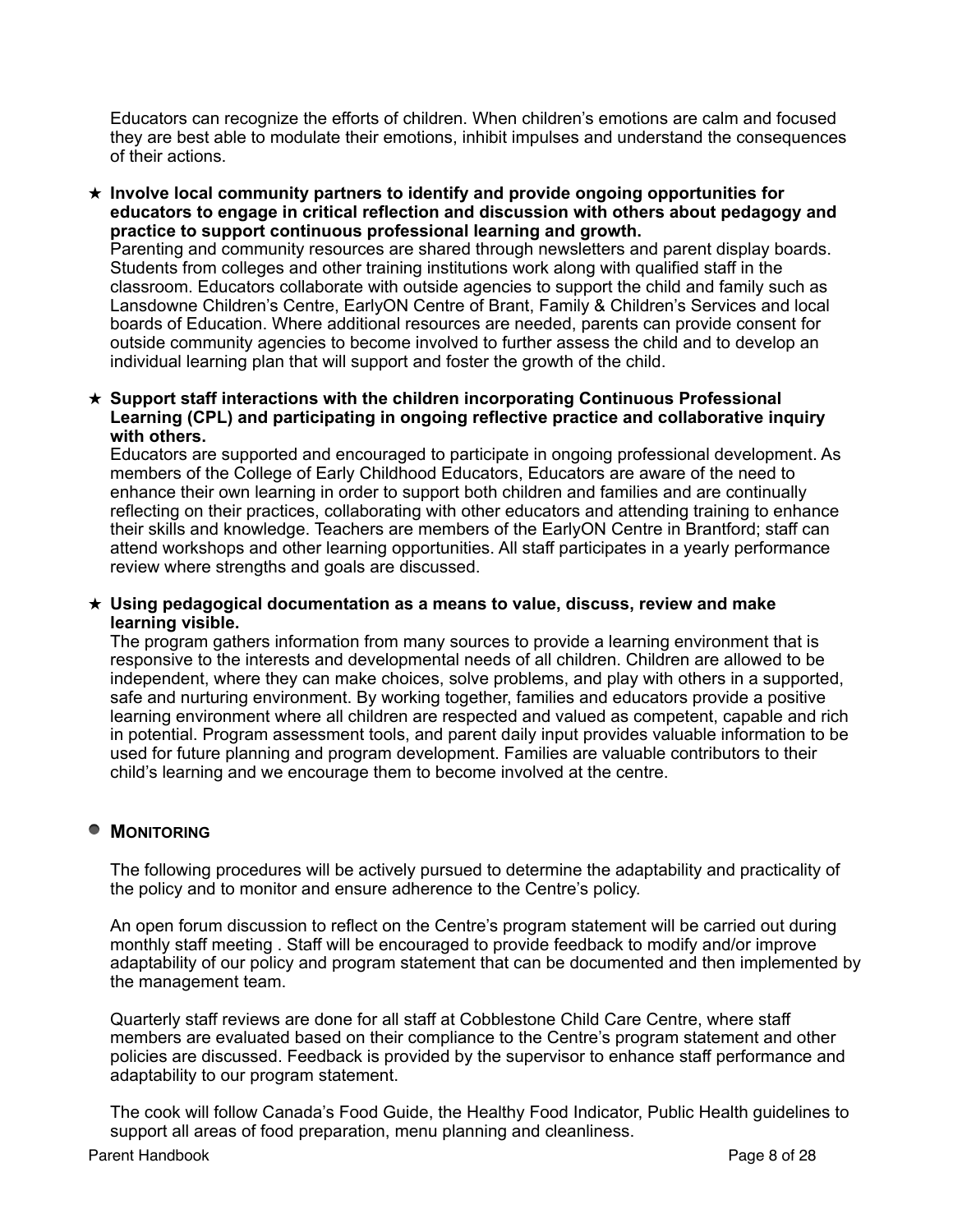Educators can recognize the efforts of children. When children's emotions are calm and focused they are best able to modulate their emotions, inhibit impulses and understand the consequences of their actions.

★ **Involve local community partners to identify and provide ongoing opportunities for educators to engage in critical reflection and discussion with others about pedagogy and practice to support continuous professional learning and growth.**

Parenting and community resources are shared through newsletters and parent display boards. Students from colleges and other training institutions work along with qualified staff in the classroom. Educators collaborate with outside agencies to support the child and family such as Lansdowne Children's Centre, EarlyON Centre of Brant, Family & Children's Services and local boards of Education. Where additional resources are needed, parents can provide consent for outside community agencies to become involved to further assess the child and to develop an individual learning plan that will support and foster the growth of the child.

★ **Support staff interactions with the children incorporating Continuous Professional Learning (CPL) and participating in ongoing reflective practice and collaborative inquiry with others.**

Educators are supported and encouraged to participate in ongoing professional development. As members of the College of Early Childhood Educators, Educators are aware of the need to enhance their own learning in order to support both children and families and are continually reflecting on their practices, collaborating with other educators and attending training to enhance their skills and knowledge. Teachers are members of the EarlyON Centre in Brantford; staff can attend workshops and other learning opportunities. All staff participates in a yearly performance review where strengths and goals are discussed.

#### ★ **Using pedagogical documentation as a means to value, discuss, review and make learning visible.**

The program gathers information from many sources to provide a learning environment that is responsive to the interests and developmental needs of all children. Children are allowed to be independent, where they can make choices, solve problems, and play with others in a supported, safe and nurturing environment. By working together, families and educators provide a positive learning environment where all children are respected and valued as competent, capable and rich in potential. Program assessment tools, and parent daily input provides valuable information to be used for future planning and program development. Families are valuable contributors to their child's learning and we encourage them to become involved at the centre.

# **MONITORING**

The following procedures will be actively pursued to determine the adaptability and practicality of the policy and to monitor and ensure adherence to the Centre's policy.

An open forum discussion to reflect on the Centre's program statement will be carried out during monthly staff meeting . Staff will be encouraged to provide feedback to modify and/or improve adaptability of our policy and program statement that can be documented and then implemented by the management team.

Quarterly staff reviews are done for all staff at Cobblestone Child Care Centre, where staff members are evaluated based on their compliance to the Centre's program statement and other policies are discussed. Feedback is provided by the supervisor to enhance staff performance and adaptability to our program statement.

The cook will follow Canada's Food Guide, the Healthy Food Indicator, Public Health guidelines to support all areas of food preparation, menu planning and cleanliness.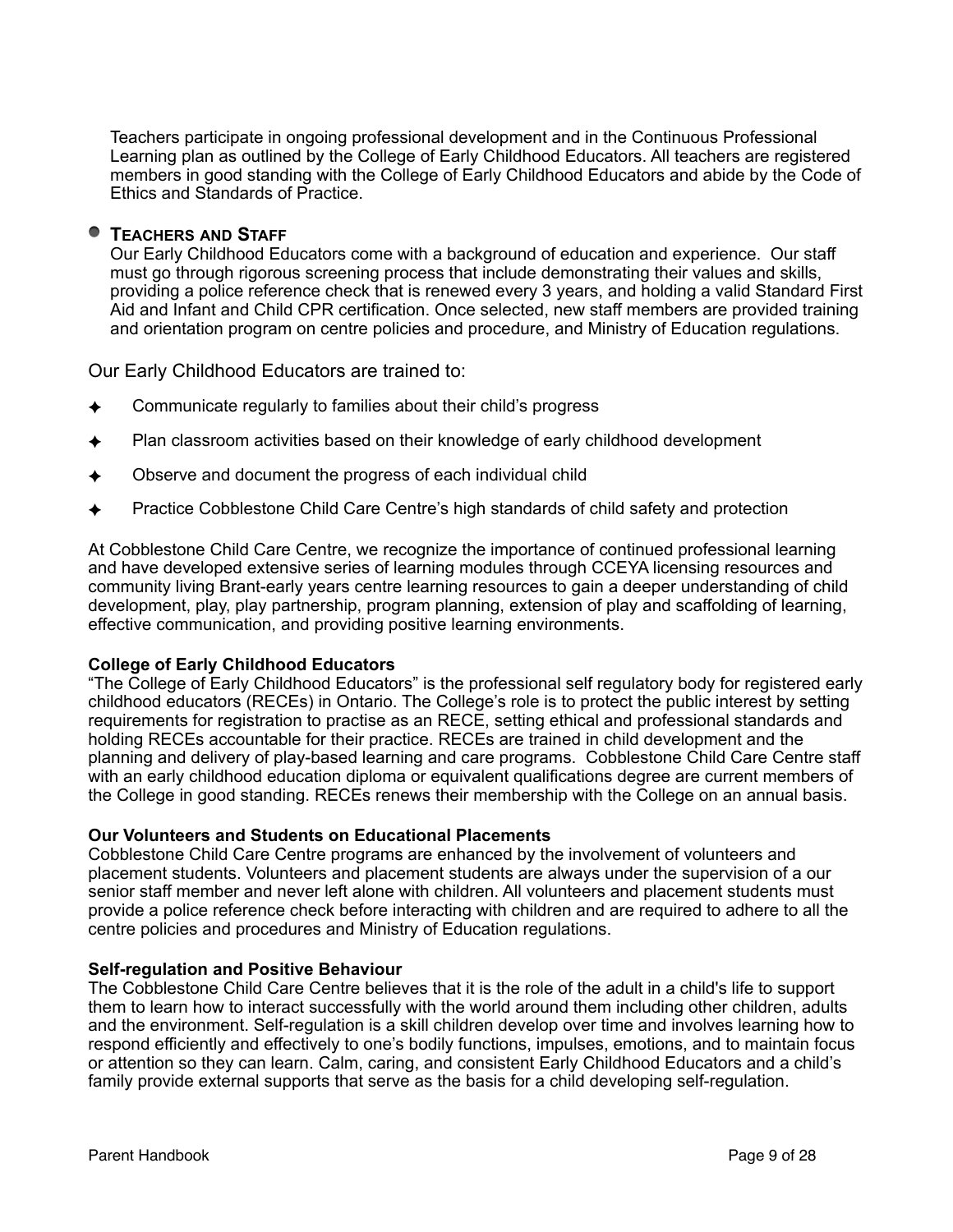Teachers participate in ongoing professional development and in the Continuous Professional Learning plan as outlined by the College of Early Childhood Educators. All teachers are registered members in good standing with the College of Early Childhood Educators and abide by the Code of Ethics and Standards of Practice.

## **TEACHERS AND STAFF**

Our Early Childhood Educators come with a background of education and experience. Our staff must go through rigorous screening process that include demonstrating their values and skills, providing a police reference check that is renewed every 3 years, and holding a valid Standard First Aid and Infant and Child CPR certification. Once selected, new staff members are provided training and orientation program on centre policies and procedure, and Ministry of Education regulations.

Our Early Childhood Educators are trained to:

- Communicate regularly to families about their child's progress
- Plan classroom activities based on their knowledge of early childhood development
- Observe and document the progress of each individual child
- ✦ Practice Cobblestone Child Care Centre's high standards of child safety and protection

At Cobblestone Child Care Centre, we recognize the importance of continued professional learning and have developed extensive series of learning modules through CCEYA licensing resources and community living Brant-early years centre learning resources to gain a deeper understanding of child development, play, play partnership, program planning, extension of play and scaffolding of learning, effective communication, and providing positive learning environments.

#### **College of Early Childhood Educators**

"The College of Early Childhood Educators" is the professional self regulatory body for registered early childhood educators (RECEs) in Ontario. The College's role is to protect the public interest by setting requirements for registration to practise as an RECE, setting ethical and professional standards and holding RECEs accountable for their practice. RECEs are trained in child development and the planning and delivery of play-based learning and care programs. Cobblestone Child Care Centre staff with an early childhood education diploma or equivalent qualifications degree are current members of the College in good standing. RECEs renews their membership with the College on an annual basis.

#### **Our Volunteers and Students on Educational Placements**

Cobblestone Child Care Centre programs are enhanced by the involvement of volunteers and placement students. Volunteers and placement students are always under the supervision of a our senior staff member and never left alone with children. All volunteers and placement students must provide a police reference check before interacting with children and are required to adhere to all the centre policies and procedures and Ministry of Education regulations.

#### **Self-regulation and Positive Behaviour**

The Cobblestone Child Care Centre believes that it is the role of the adult in a child's life to support them to learn how to interact successfully with the world around them including other children, adults and the environment. Self-regulation is a skill children develop over time and involves learning how to respond efficiently and effectively to one's bodily functions, impulses, emotions, and to maintain focus or attention so they can learn. Calm, caring, and consistent Early Childhood Educators and a child's family provide external supports that serve as the basis for a child developing self-regulation.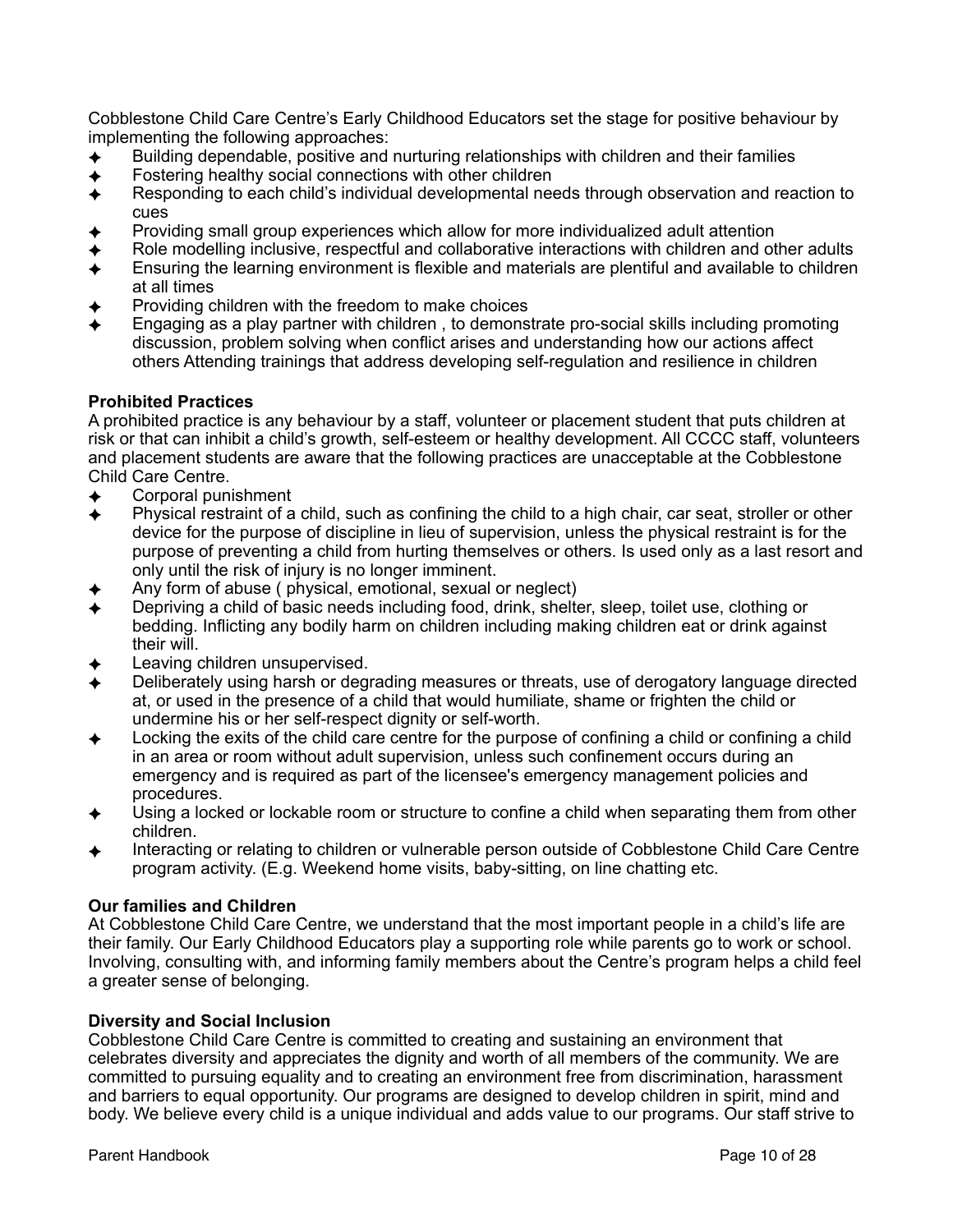Cobblestone Child Care Centre's Early Childhood Educators set the stage for positive behaviour by implementing the following approaches:

- Building dependable, positive and nurturing relationships with children and their families
- Fostering healthy social connections with other children
- ✦ Responding to each child's individual developmental needs through observation and reaction to cues
- ✦ Providing small group experiences which allow for more individualized adult attention
- Role modelling inclusive, respectful and collaborative interactions with children and other adults Ensuring the learning environment is flexible and materials are plentiful and available to children
- at all times Providing children with the freedom to make choices
- ✦ Engaging as a play partner with children , to demonstrate pro-social skills including promoting discussion, problem solving when conflict arises and understanding how our actions affect others Attending trainings that address developing self-regulation and resilience in children

# **Prohibited Practices**

A prohibited practice is any behaviour by a staff, volunteer or placement student that puts children at risk or that can inhibit a child's growth, self-esteem or healthy development. All CCCC staff, volunteers and placement students are aware that the following practices are unacceptable at the Cobblestone Child Care Centre.

- Corporal punishment
- $\leftrightarrow$  Physical restraint of a child, such as confining the child to a high chair, car seat, stroller or other device for the purpose of discipline in lieu of supervision, unless the physical restraint is for the purpose of preventing a child from hurting themselves or others. Is used only as a last resort and only until the risk of injury is no longer imminent.
- Any form of abuse ( physical, emotional, sexual or neglect)
- Depriving a child of basic needs including food, drink, shelter, sleep, toilet use, clothing or bedding. Inflicting any bodily harm on children including making children eat or drink against their will.
- Leaving children unsupervised.
- Deliberately using harsh or degrading measures or threats, use of derogatory language directed at, or used in the presence of a child that would humiliate, shame or frighten the child or undermine his or her self-respect dignity or self-worth.
- Locking the exits of the child care centre for the purpose of confining a child or confining a child in an area or room without adult supervision, unless such confinement occurs during an emergency and is required as part of the licensee's emergency management policies and procedures.
- Using a locked or lockable room or structure to confine a child when separating them from other children.
- Interacting or relating to children or vulnerable person outside of Cobblestone Child Care Centre program activity. (E.g. Weekend home visits, baby-sitting, on line chatting etc.

# **Our families and Children**

At Cobblestone Child Care Centre, we understand that the most important people in a child's life are their family. Our Early Childhood Educators play a supporting role while parents go to work or school. Involving, consulting with, and informing family members about the Centre's program helps a child feel a greater sense of belonging.

# **Diversity and Social Inclusion**

Cobblestone Child Care Centre is committed to creating and sustaining an environment that celebrates diversity and appreciates the dignity and worth of all members of the community. We are committed to pursuing equality and to creating an environment free from discrimination, harassment and barriers to equal opportunity. Our programs are designed to develop children in spirit, mind and body. We believe every child is a unique individual and adds value to our programs. Our staff strive to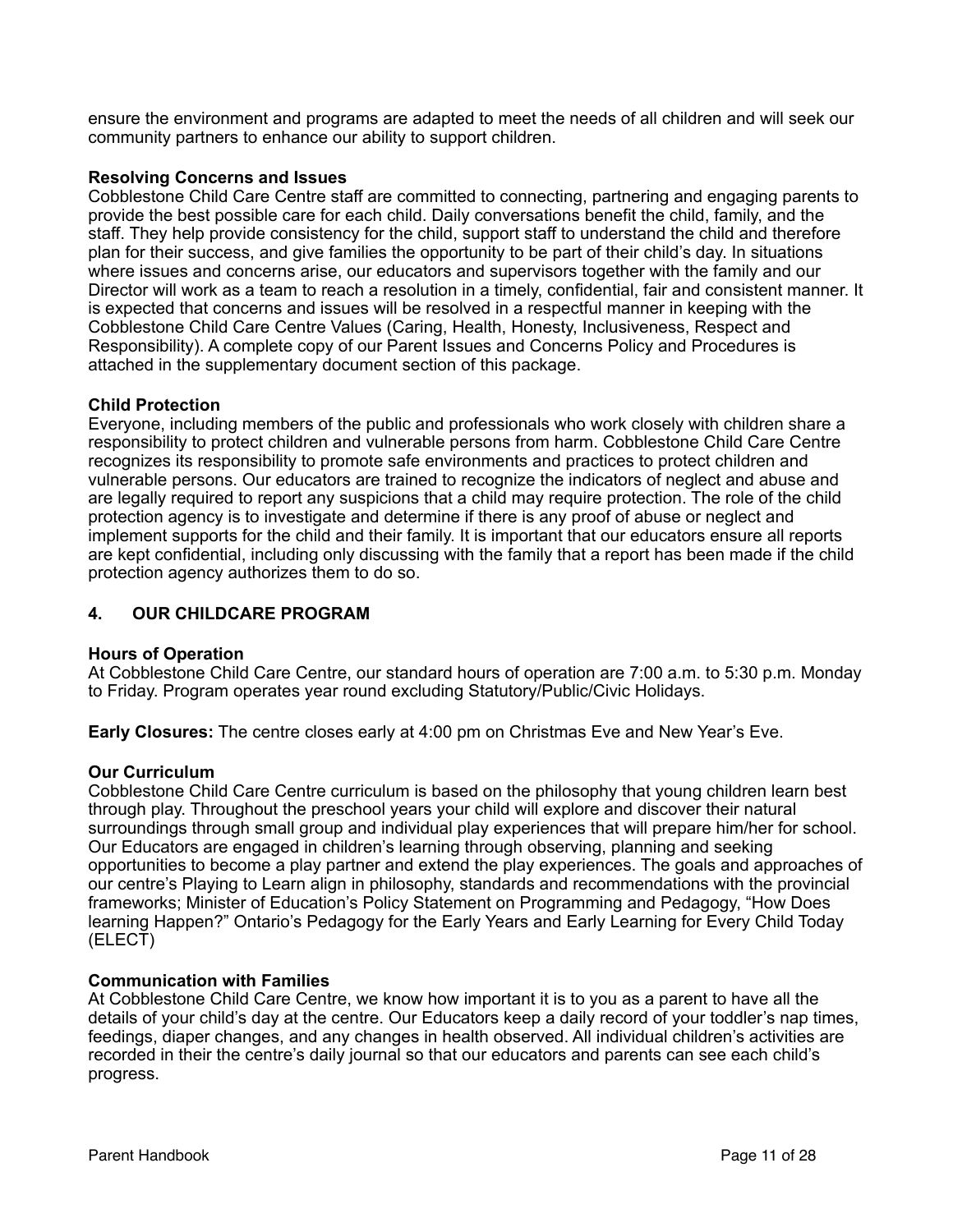ensure the environment and programs are adapted to meet the needs of all children and will seek our community partners to enhance our ability to support children.

## **Resolving Concerns and Issues**

Cobblestone Child Care Centre staff are committed to connecting, partnering and engaging parents to provide the best possible care for each child. Daily conversations benefit the child, family, and the staff. They help provide consistency for the child, support staff to understand the child and therefore plan for their success, and give families the opportunity to be part of their child's day. In situations where issues and concerns arise, our educators and supervisors together with the family and our Director will work as a team to reach a resolution in a timely, confidential, fair and consistent manner. It is expected that concerns and issues will be resolved in a respectful manner in keeping with the Cobblestone Child Care Centre Values (Caring, Health, Honesty, Inclusiveness, Respect and Responsibility). A complete copy of our Parent Issues and Concerns Policy and Procedures is attached in the supplementary document section of this package.

## **Child Protection**

Everyone, including members of the public and professionals who work closely with children share a responsibility to protect children and vulnerable persons from harm. Cobblestone Child Care Centre recognizes its responsibility to promote safe environments and practices to protect children and vulnerable persons. Our educators are trained to recognize the indicators of neglect and abuse and are legally required to report any suspicions that a child may require protection. The role of the child protection agency is to investigate and determine if there is any proof of abuse or neglect and implement supports for the child and their family. It is important that our educators ensure all reports are kept confidential, including only discussing with the family that a report has been made if the child protection agency authorizes them to do so.

# **4. OUR CHILDCARE PROGRAM**

#### **Hours of Operation**

At Cobblestone Child Care Centre, our standard hours of operation are 7:00 a.m. to 5:30 p.m. Monday to Friday. Program operates year round excluding Statutory/Public/Civic Holidays.

**Early Closures:** The centre closes early at 4:00 pm on Christmas Eve and New Year's Eve.

#### **Our Curriculum**

Cobblestone Child Care Centre curriculum is based on the philosophy that young children learn best through play. Throughout the preschool years your child will explore and discover their natural surroundings through small group and individual play experiences that will prepare him/her for school. Our Educators are engaged in children's learning through observing, planning and seeking opportunities to become a play partner and extend the play experiences. The goals and approaches of our centre's Playing to Learn align in philosophy, standards and recommendations with the provincial frameworks; Minister of Education's Policy Statement on Programming and Pedagogy, "How Does learning Happen?" Ontario's Pedagogy for the Early Years and Early Learning for Every Child Today (ELECT)

#### **Communication with Families**

At Cobblestone Child Care Centre, we know how important it is to you as a parent to have all the details of your child's day at the centre. Our Educators keep a daily record of your toddler's nap times, feedings, diaper changes, and any changes in health observed. All individual children's activities are recorded in their the centre's daily journal so that our educators and parents can see each child's progress.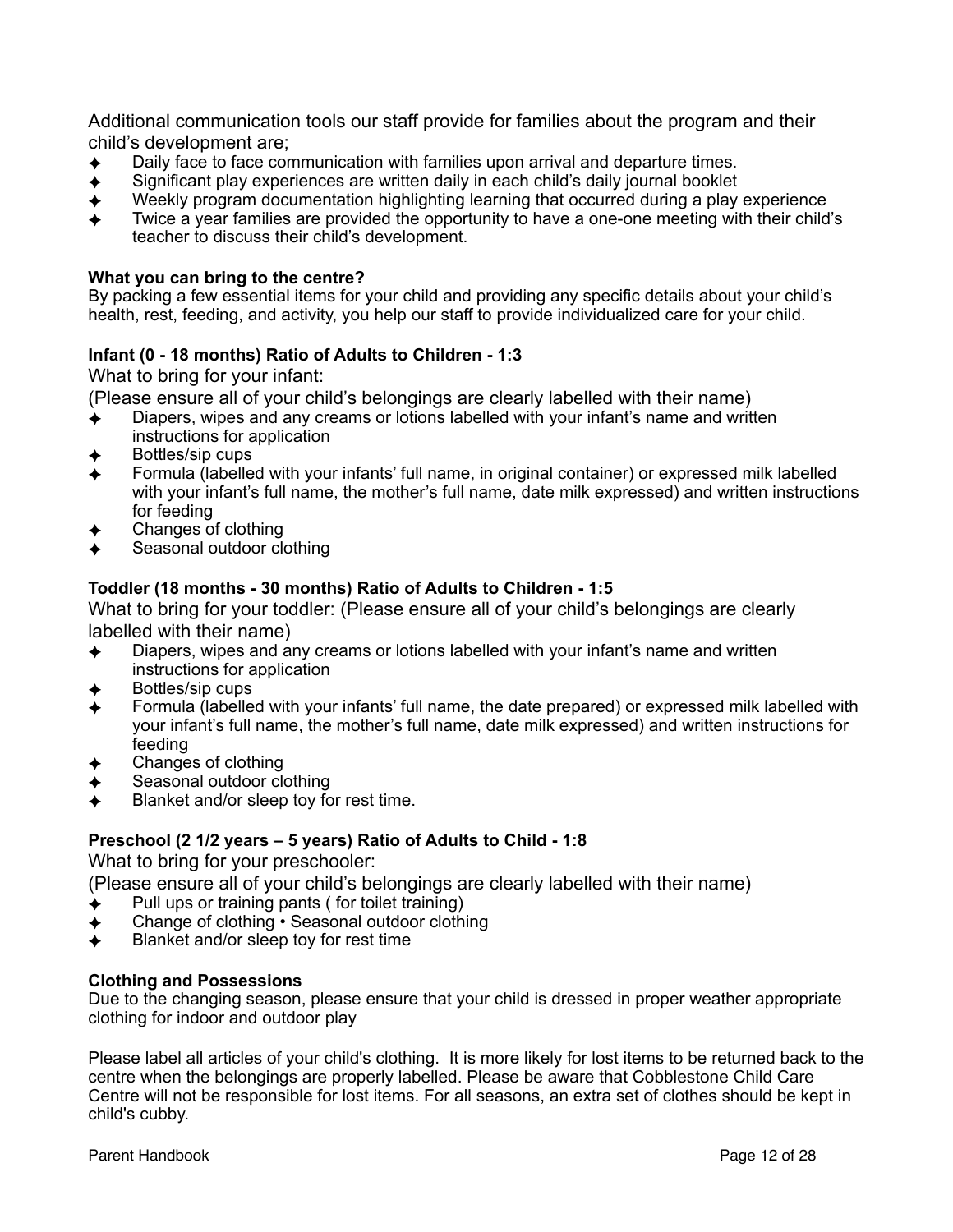Additional communication tools our staff provide for families about the program and their child's development are;

- Daily face to face communication with families upon arrival and departure times.
- ✦ Significant play experiences are written daily in each child's daily journal booklet
- Weekly program documentation highlighting learning that occurred during a play experience
- Twice a year families are provided the opportunity to have a one-one meeting with their child's teacher to discuss their child's development.

## **What you can bring to the centre?**

By packing a few essential items for your child and providing any specific details about your child's health, rest, feeding, and activity, you help our staff to provide individualized care for your child.

## **Infant (0 - 18 months) Ratio of Adults to Children - 1:3**

What to bring for your infant:

(Please ensure all of your child's belongings are clearly labelled with their name)

- Diapers, wipes and any creams or lotions labelled with your infant's name and written instructions for application
- Bottles/sip cups
- Formula (labelled with your infants' full name, in original container) or expressed milk labelled with your infant's full name, the mother's full name, date milk expressed) and written instructions for feeding
- Changes of clothing
- Seasonal outdoor clothing

## **Toddler (18 months - 30 months) Ratio of Adults to Children - 1:5**

What to bring for your toddler: (Please ensure all of your child's belongings are clearly labelled with their name)

- ✦ Diapers, wipes and any creams or lotions labelled with your infant's name and written instructions for application
- Bottles/sip cups
- Formula (labelled with your infants' full name, the date prepared) or expressed milk labelled with your infant's full name, the mother's full name, date milk expressed) and written instructions for feeding
- Changes of clothing
- Seasonal outdoor clothing
- Blanket and/or sleep toy for rest time.

#### **Preschool (2 1/2 years – 5 years) Ratio of Adults to Child - 1:8**

What to bring for your preschooler:

(Please ensure all of your child's belongings are clearly labelled with their name)

- Pull ups or training pants ( for toilet training)
- Change of clothing Seasonal outdoor clothing
- ✦ Blanket and/or sleep toy for rest time

#### **Clothing and Possessions**

Due to the changing season, please ensure that your child is dressed in proper weather appropriate clothing for indoor and outdoor play

Please label all articles of your child's clothing. It is more likely for lost items to be returned back to the centre when the belongings are properly labelled. Please be aware that Cobblestone Child Care Centre will not be responsible for lost items. For all seasons, an extra set of clothes should be kept in child's cubby.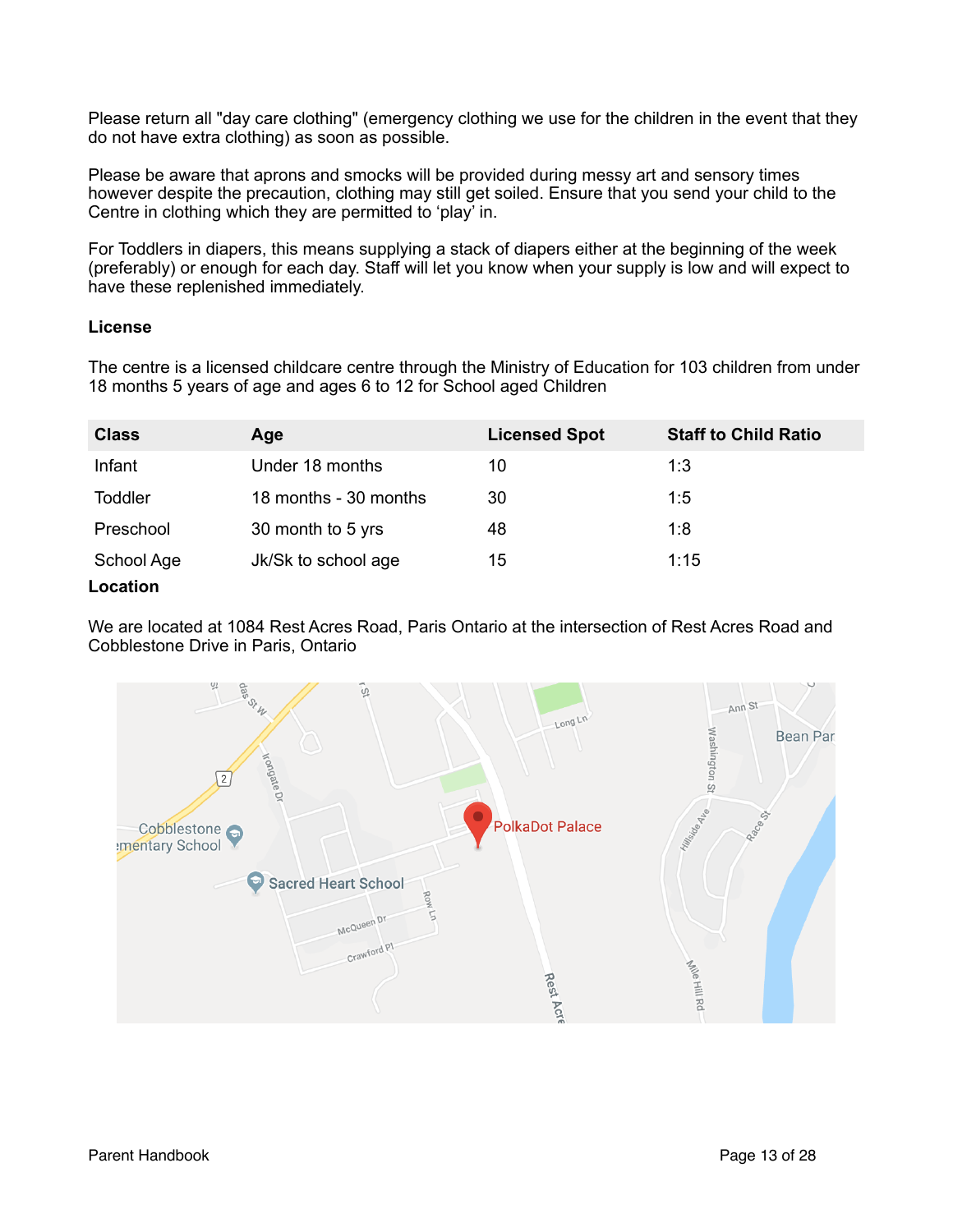Please return all "day care clothing" (emergency clothing we use for the children in the event that they do not have extra clothing) as soon as possible.

Please be aware that aprons and smocks will be provided during messy art and sensory times however despite the precaution, clothing may still get soiled. Ensure that you send your child to the Centre in clothing which they are permitted to 'play' in.

For Toddlers in diapers, this means supplying a stack of diapers either at the beginning of the week (preferably) or enough for each day. Staff will let you know when your supply is low and will expect to have these replenished immediately.

#### **License**

The centre is a licensed childcare centre through the Ministry of Education for 103 children from under 18 months 5 years of age and ages 6 to 12 for School aged Children

| <b>Class</b>           | Age                   | <b>Licensed Spot</b> | <b>Staff to Child Ratio</b> |
|------------------------|-----------------------|----------------------|-----------------------------|
| Infant                 | Under 18 months       | 10                   | 1:3                         |
| <b>Toddler</b>         | 18 months - 30 months | 30                   | 1:5                         |
| Preschool              | 30 month to 5 yrs     | 48                   | 1:8                         |
| School Age<br>Location | Jk/Sk to school age   | 15                   | 1:15                        |

We are located at 1084 Rest Acres Road, Paris Ontario at the intersection of Rest Acres Road and Cobblestone Drive in Paris, Ontario

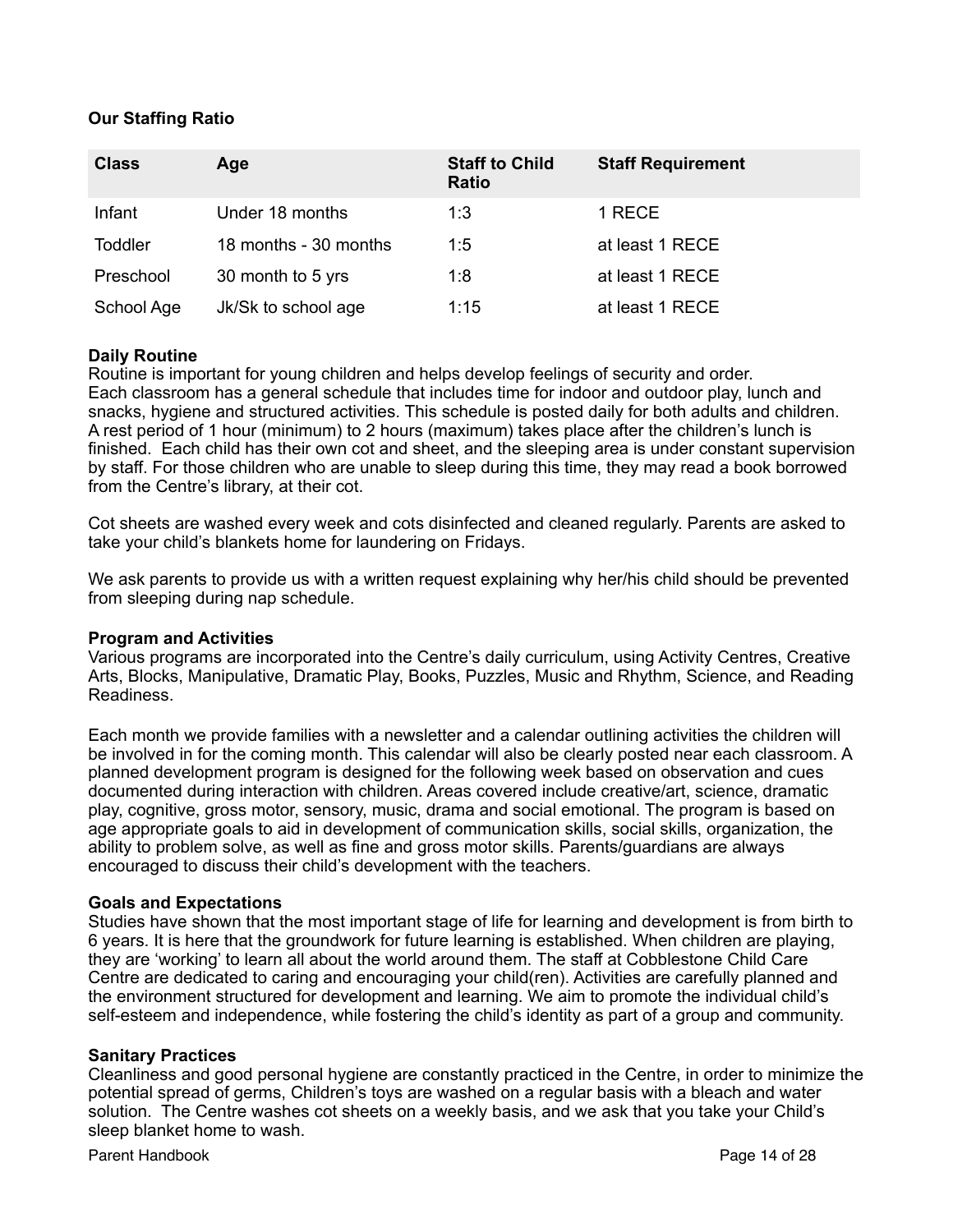# **Our Staffing Ratio**

| <b>Class</b>   | Age                   | <b>Staff to Child</b><br><b>Ratio</b> | <b>Staff Requirement</b> |
|----------------|-----------------------|---------------------------------------|--------------------------|
| Infant         | Under 18 months       | 1:3                                   | 1 RECE                   |
| <b>Toddler</b> | 18 months - 30 months | 1:5                                   | at least 1 RECE          |
| Preschool      | 30 month to 5 yrs     | 1:8                                   | at least 1 RECE          |
| School Age     | Jk/Sk to school age   | 1:15                                  | at least 1 RECE          |

#### **Daily Routine**

Routine is important for young children and helps develop feelings of security and order. Each classroom has a general schedule that includes time for indoor and outdoor play, lunch and snacks, hygiene and structured activities. This schedule is posted daily for both adults and children. A rest period of 1 hour (minimum) to 2 hours (maximum) takes place after the children's lunch is finished. Each child has their own cot and sheet, and the sleeping area is under constant supervision by staff. For those children who are unable to sleep during this time, they may read a book borrowed from the Centre's library, at their cot.

Cot sheets are washed every week and cots disinfected and cleaned regularly. Parents are asked to take your child's blankets home for laundering on Fridays.

We ask parents to provide us with a written request explaining why her/his child should be prevented from sleeping during nap schedule.

#### **Program and Activities**

Various programs are incorporated into the Centre's daily curriculum, using Activity Centres, Creative Arts, Blocks, Manipulative, Dramatic Play, Books, Puzzles, Music and Rhythm, Science, and Reading Readiness.

Each month we provide families with a newsletter and a calendar outlining activities the children will be involved in for the coming month. This calendar will also be clearly posted near each classroom. A planned development program is designed for the following week based on observation and cues documented during interaction with children. Areas covered include creative/art, science, dramatic play, cognitive, gross motor, sensory, music, drama and social emotional. The program is based on age appropriate goals to aid in development of communication skills, social skills, organization, the ability to problem solve, as well as fine and gross motor skills. Parents/guardians are always encouraged to discuss their child's development with the teachers.

#### **Goals and Expectations**

Studies have shown that the most important stage of life for learning and development is from birth to 6 years. It is here that the groundwork for future learning is established. When children are playing, they are 'working' to learn all about the world around them. The staff at Cobblestone Child Care Centre are dedicated to caring and encouraging your child(ren). Activities are carefully planned and the environment structured for development and learning. We aim to promote the individual child's self-esteem and independence, while fostering the child's identity as part of a group and community.

#### **Sanitary Practices**

Cleanliness and good personal hygiene are constantly practiced in the Centre, in order to minimize the potential spread of germs, Children's toys are washed on a regular basis with a bleach and water solution. The Centre washes cot sheets on a weekly basis, and we ask that you take your Child's sleep blanket home to wash.

Parent Handbook **Page 14 of 28**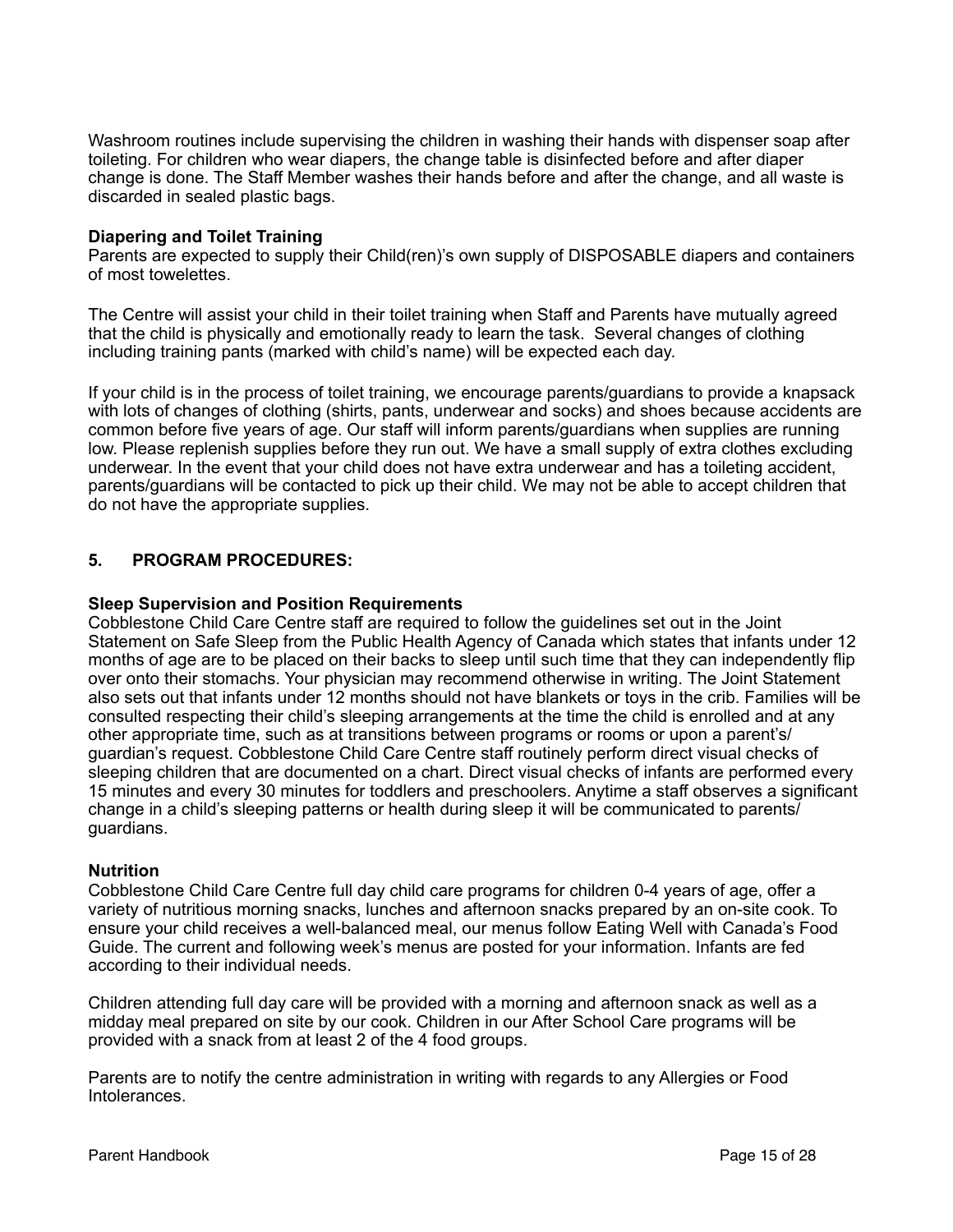Washroom routines include supervising the children in washing their hands with dispenser soap after toileting. For children who wear diapers, the change table is disinfected before and after diaper change is done. The Staff Member washes their hands before and after the change, and all waste is discarded in sealed plastic bags.

#### **Diapering and Toilet Training**

Parents are expected to supply their Child(ren)'s own supply of DISPOSABLE diapers and containers of most towelettes.

The Centre will assist your child in their toilet training when Staff and Parents have mutually agreed that the child is physically and emotionally ready to learn the task. Several changes of clothing including training pants (marked with child's name) will be expected each day.

If your child is in the process of toilet training, we encourage parents/guardians to provide a knapsack with lots of changes of clothing (shirts, pants, underwear and socks) and shoes because accidents are common before five years of age. Our staff will inform parents/guardians when supplies are running low. Please replenish supplies before they run out. We have a small supply of extra clothes excluding underwear. In the event that your child does not have extra underwear and has a toileting accident, parents/guardians will be contacted to pick up their child. We may not be able to accept children that do not have the appropriate supplies.

# **5. PROGRAM PROCEDURES:**

#### **Sleep Supervision and Position Requirements**

Cobblestone Child Care Centre staff are required to follow the guidelines set out in the Joint Statement on Safe Sleep from the Public Health Agency of Canada which states that infants under 12 months of age are to be placed on their backs to sleep until such time that they can independently flip over onto their stomachs. Your physician may recommend otherwise in writing. The Joint Statement also sets out that infants under 12 months should not have blankets or toys in the crib. Families will be consulted respecting their child's sleeping arrangements at the time the child is enrolled and at any other appropriate time, such as at transitions between programs or rooms or upon a parent's/ guardian's request. Cobblestone Child Care Centre staff routinely perform direct visual checks of sleeping children that are documented on a chart. Direct visual checks of infants are performed every 15 minutes and every 30 minutes for toddlers and preschoolers. Anytime a staff observes a significant change in a child's sleeping patterns or health during sleep it will be communicated to parents/ guardians.

#### **Nutrition**

Cobblestone Child Care Centre full day child care programs for children 0-4 years of age, offer a variety of nutritious morning snacks, lunches and afternoon snacks prepared by an on-site cook. To ensure your child receives a well-balanced meal, our menus follow Eating Well with Canada's Food Guide. The current and following week's menus are posted for your information. Infants are fed according to their individual needs.

Children attending full day care will be provided with a morning and afternoon snack as well as a midday meal prepared on site by our cook. Children in our After School Care programs will be provided with a snack from at least 2 of the 4 food groups.

Parents are to notify the centre administration in writing with regards to any Allergies or Food Intolerances.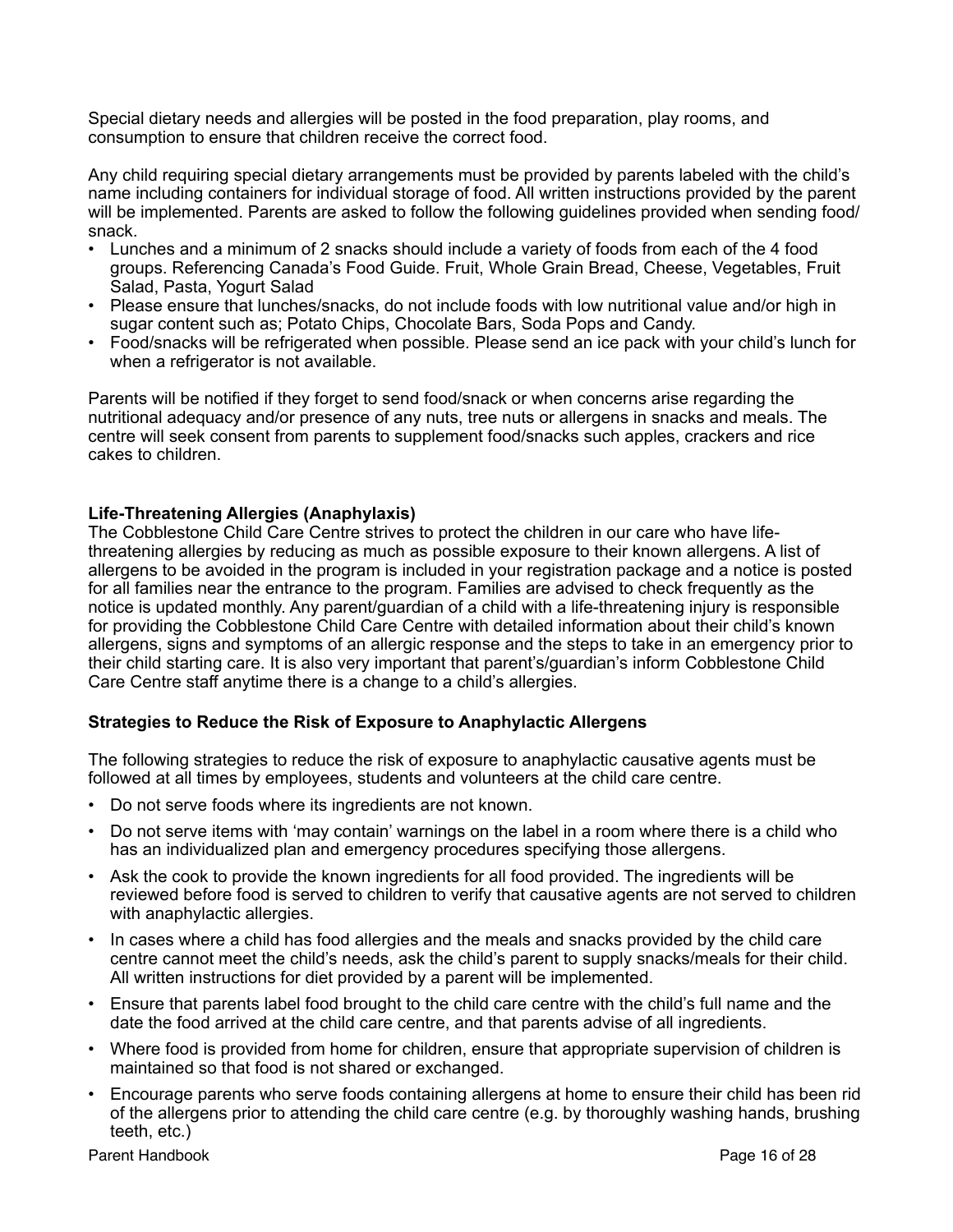Special dietary needs and allergies will be posted in the food preparation, play rooms, and consumption to ensure that children receive the correct food.

Any child requiring special dietary arrangements must be provided by parents labeled with the child's name including containers for individual storage of food. All written instructions provided by the parent will be implemented. Parents are asked to follow the following guidelines provided when sending food/ snack.

- Lunches and a minimum of 2 snacks should include a variety of foods from each of the 4 food groups. Referencing Canada's Food Guide. Fruit, Whole Grain Bread, Cheese, Vegetables, Fruit Salad, Pasta, Yogurt Salad
- Please ensure that lunches/snacks, do not include foods with low nutritional value and/or high in sugar content such as; Potato Chips, Chocolate Bars, Soda Pops and Candy.
- Food/snacks will be refrigerated when possible. Please send an ice pack with your child's lunch for when a refrigerator is not available.

Parents will be notified if they forget to send food/snack or when concerns arise regarding the nutritional adequacy and/or presence of any nuts, tree nuts or allergens in snacks and meals. The centre will seek consent from parents to supplement food/snacks such apples, crackers and rice cakes to children.

# **Life-Threatening Allergies (Anaphylaxis)**

The Cobblestone Child Care Centre strives to protect the children in our care who have lifethreatening allergies by reducing as much as possible exposure to their known allergens. A list of allergens to be avoided in the program is included in your registration package and a notice is posted for all families near the entrance to the program. Families are advised to check frequently as the notice is updated monthly. Any parent/guardian of a child with a life-threatening injury is responsible for providing the Cobblestone Child Care Centre with detailed information about their child's known allergens, signs and symptoms of an allergic response and the steps to take in an emergency prior to their child starting care. It is also very important that parent's/guardian's inform Cobblestone Child Care Centre staff anytime there is a change to a child's allergies.

# **Strategies to Reduce the Risk of Exposure to Anaphylactic Allergens**

The following strategies to reduce the risk of exposure to anaphylactic causative agents must be followed at all times by employees, students and volunteers at the child care centre.

- Do not serve foods where its ingredients are not known.
- Do not serve items with 'may contain' warnings on the label in a room where there is a child who has an individualized plan and emergency procedures specifying those allergens.
- Ask the cook to provide the known ingredients for all food provided. The ingredients will be reviewed before food is served to children to verify that causative agents are not served to children with anaphylactic allergies.
- In cases where a child has food allergies and the meals and snacks provided by the child care centre cannot meet the child's needs, ask the child's parent to supply snacks/meals for their child. All written instructions for diet provided by a parent will be implemented.
- Ensure that parents label food brought to the child care centre with the child's full name and the date the food arrived at the child care centre, and that parents advise of all ingredients.
- Where food is provided from home for children, ensure that appropriate supervision of children is maintained so that food is not shared or exchanged.
- Encourage parents who serve foods containing allergens at home to ensure their child has been rid of the allergens prior to attending the child care centre (e.g. by thoroughly washing hands, brushing teeth, etc.)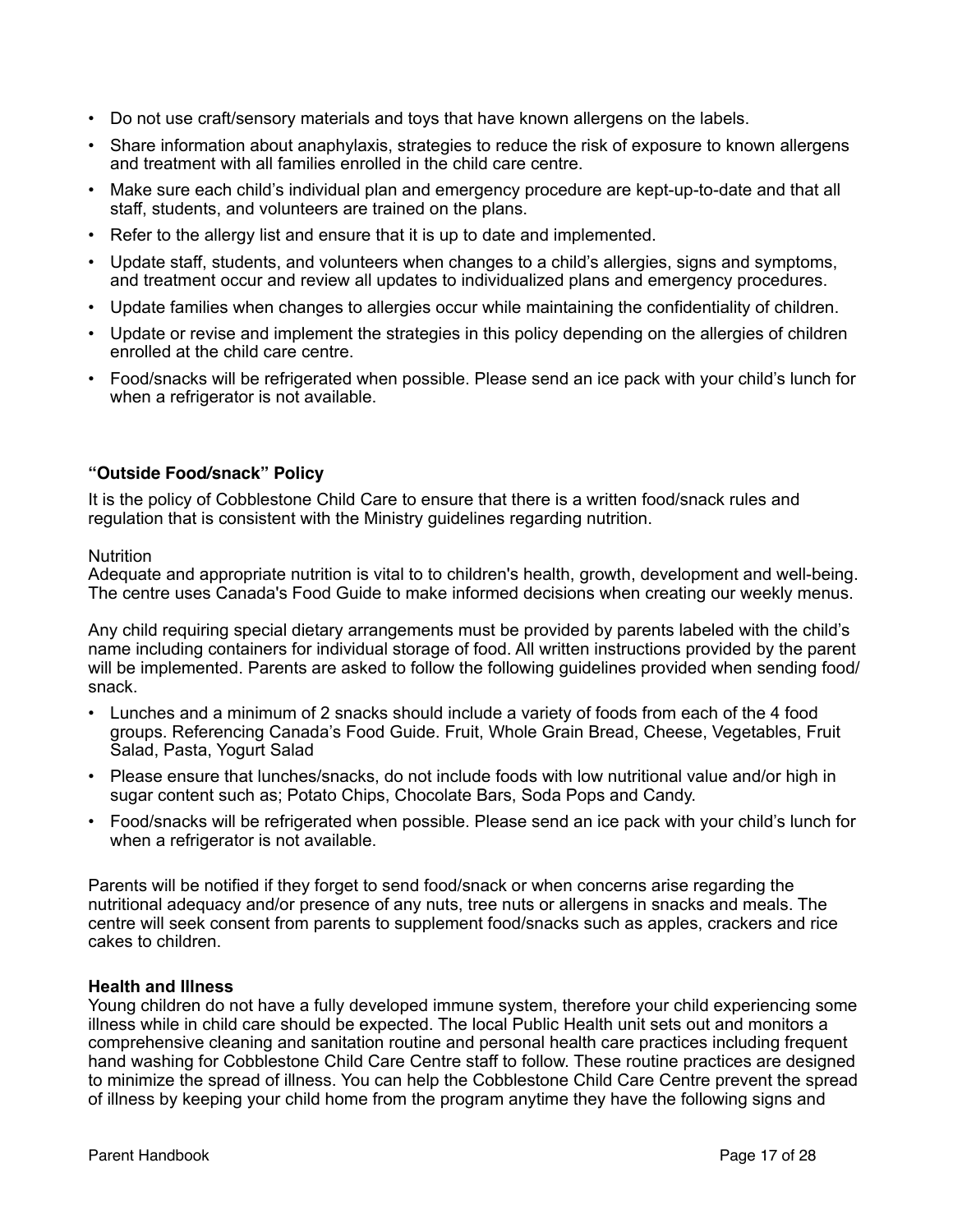- Do not use craft/sensory materials and toys that have known allergens on the labels.
- Share information about anaphylaxis, strategies to reduce the risk of exposure to known allergens and treatment with all families enrolled in the child care centre.
- Make sure each child's individual plan and emergency procedure are kept-up-to-date and that all staff, students, and volunteers are trained on the plans.
- Refer to the allergy list and ensure that it is up to date and implemented.
- Update staff, students, and volunteers when changes to a child's allergies, signs and symptoms, and treatment occur and review all updates to individualized plans and emergency procedures.
- Update families when changes to allergies occur while maintaining the confidentiality of children.
- Update or revise and implement the strategies in this policy depending on the allergies of children enrolled at the child care centre.
- Food/snacks will be refrigerated when possible. Please send an ice pack with your child's lunch for when a refrigerator is not available.

## **"Outside Food/snack" Policy**

It is the policy of Cobblestone Child Care to ensure that there is a written food/snack rules and regulation that is consistent with the Ministry guidelines regarding nutrition.

#### **Nutrition**

Adequate and appropriate nutrition is vital to to children's health, growth, development and well-being. The centre uses Canada's Food Guide to make informed decisions when creating our weekly menus.

Any child requiring special dietary arrangements must be provided by parents labeled with the child's name including containers for individual storage of food. All written instructions provided by the parent will be implemented. Parents are asked to follow the following guidelines provided when sending food/ snack.

- Lunches and a minimum of 2 snacks should include a variety of foods from each of the 4 food groups. Referencing Canada's Food Guide. Fruit, Whole Grain Bread, Cheese, Vegetables, Fruit Salad, Pasta, Yogurt Salad
- Please ensure that lunches/snacks, do not include foods with low nutritional value and/or high in sugar content such as; Potato Chips, Chocolate Bars, Soda Pops and Candy.
- Food/snacks will be refrigerated when possible. Please send an ice pack with your child's lunch for when a refrigerator is not available.

Parents will be notified if they forget to send food/snack or when concerns arise regarding the nutritional adequacy and/or presence of any nuts, tree nuts or allergens in snacks and meals. The centre will seek consent from parents to supplement food/snacks such as apples, crackers and rice cakes to children.

#### **Health and Illness**

Young children do not have a fully developed immune system, therefore your child experiencing some illness while in child care should be expected. The local Public Health unit sets out and monitors a comprehensive cleaning and sanitation routine and personal health care practices including frequent hand washing for Cobblestone Child Care Centre staff to follow. These routine practices are designed to minimize the spread of illness. You can help the Cobblestone Child Care Centre prevent the spread of illness by keeping your child home from the program anytime they have the following signs and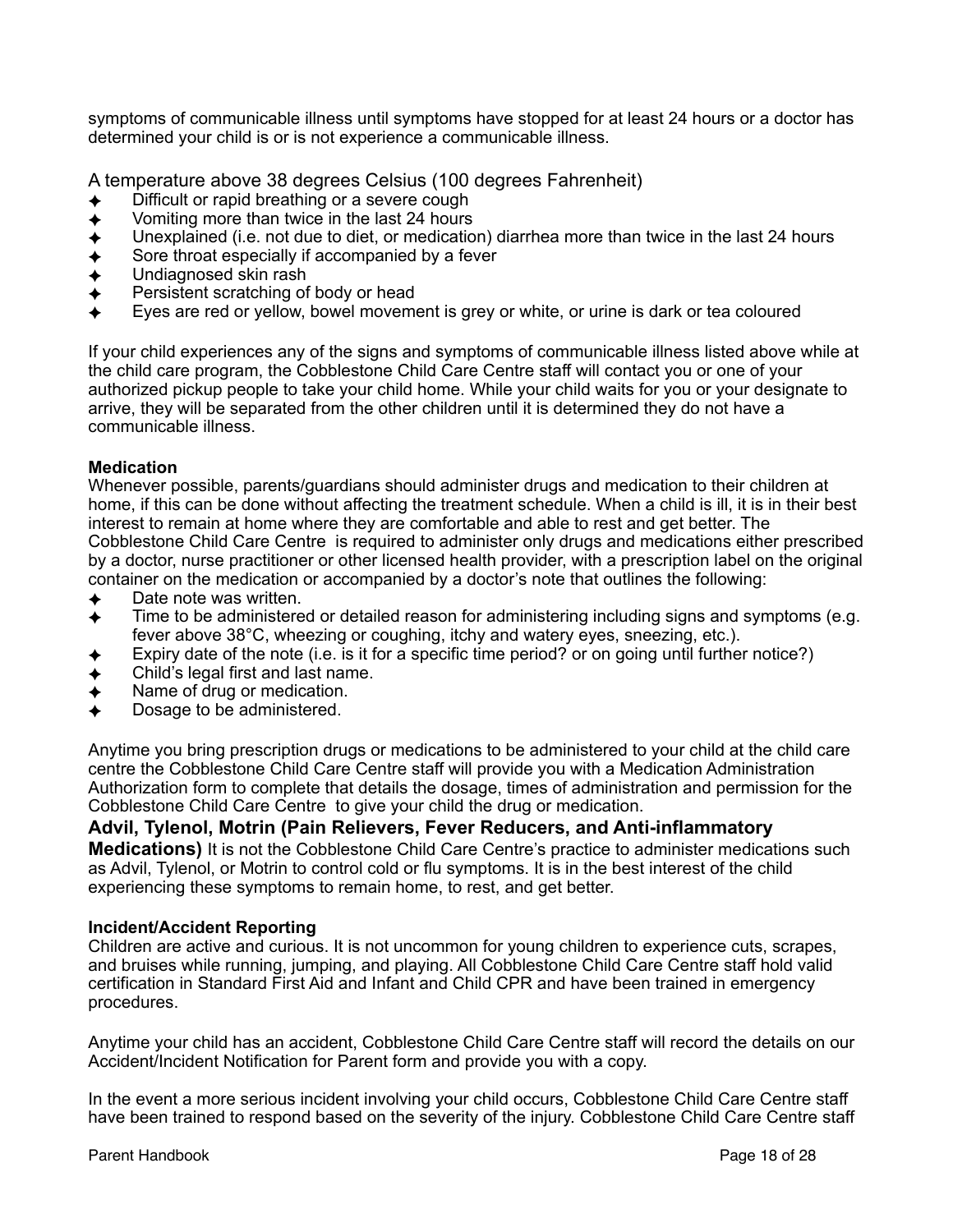symptoms of communicable illness until symptoms have stopped for at least 24 hours or a doctor has determined your child is or is not experience a communicable illness.

A temperature above 38 degrees Celsius (100 degrees Fahrenheit)

- Difficult or rapid breathing or a severe cough
- Vomiting more than twice in the last 24 hours
- Unexplained (i.e. not due to diet, or medication) diarrhea more than twice in the last 24 hours
- Sore throat especially if accompanied by a fever
- Undiagnosed skin rash
- Persistent scratching of body or head
- Eves are red or yellow, bowel movement is grey or white, or urine is dark or tea coloured

If your child experiences any of the signs and symptoms of communicable illness listed above while at the child care program, the Cobblestone Child Care Centre staff will contact you or one of your authorized pickup people to take your child home. While your child waits for you or your designate to arrive, they will be separated from the other children until it is determined they do not have a communicable illness.

## **Medication**

Whenever possible, parents/guardians should administer drugs and medication to their children at home, if this can be done without affecting the treatment schedule. When a child is ill, it is in their best interest to remain at home where they are comfortable and able to rest and get better. The Cobblestone Child Care Centre is required to administer only drugs and medications either prescribed by a doctor, nurse practitioner or other licensed health provider, with a prescription label on the original container on the medication or accompanied by a doctor's note that outlines the following:

- Date note was written.
- $\blacklozenge$  Time to be administered or detailed reason for administering including signs and symptoms (e.g. fever above 38°C, wheezing or coughing, itchy and watery eyes, sneezing, etc.).
- Expiry date of the note (i.e. is it for a specific time period? or on going until further notice?)
- Child's legal first and last name.
- Name of drug or medication.
- Dosage to be administered.

Anytime you bring prescription drugs or medications to be administered to your child at the child care centre the Cobblestone Child Care Centre staff will provide you with a Medication Administration Authorization form to complete that details the dosage, times of administration and permission for the Cobblestone Child Care Centre to give your child the drug or medication.

# **Advil, Tylenol, Motrin (Pain Relievers, Fever Reducers, and Anti-inflammatory**

**Medications)** It is not the Cobblestone Child Care Centre's practice to administer medications such as Advil, Tylenol, or Motrin to control cold or flu symptoms. It is in the best interest of the child experiencing these symptoms to remain home, to rest, and get better.

#### **Incident/Accident Reporting**

Children are active and curious. It is not uncommon for young children to experience cuts, scrapes, and bruises while running, jumping, and playing. All Cobblestone Child Care Centre staff hold valid certification in Standard First Aid and Infant and Child CPR and have been trained in emergency procedures.

Anytime your child has an accident, Cobblestone Child Care Centre staff will record the details on our Accident/Incident Notification for Parent form and provide you with a copy.

In the event a more serious incident involving your child occurs, Cobblestone Child Care Centre staff have been trained to respond based on the severity of the injury. Cobblestone Child Care Centre staff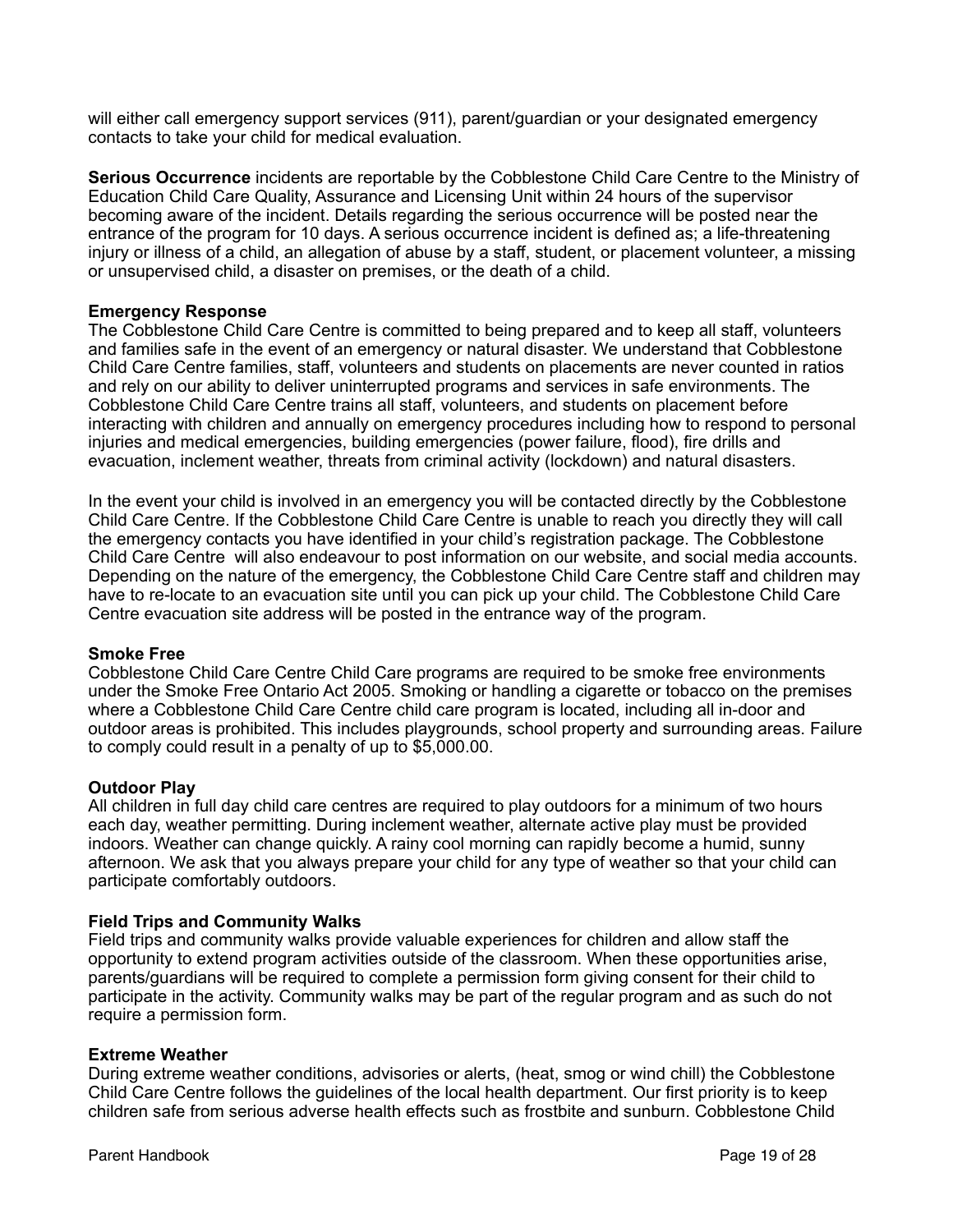will either call emergency support services (911), parent/guardian or your designated emergency contacts to take your child for medical evaluation.

**Serious Occurrence** incidents are reportable by the Cobblestone Child Care Centre to the Ministry of Education Child Care Quality, Assurance and Licensing Unit within 24 hours of the supervisor becoming aware of the incident. Details regarding the serious occurrence will be posted near the entrance of the program for 10 days. A serious occurrence incident is defined as; a life-threatening injury or illness of a child, an allegation of abuse by a staff, student, or placement volunteer, a missing or unsupervised child, a disaster on premises, or the death of a child.

#### **Emergency Response**

The Cobblestone Child Care Centre is committed to being prepared and to keep all staff, volunteers and families safe in the event of an emergency or natural disaster. We understand that Cobblestone Child Care Centre families, staff, volunteers and students on placements are never counted in ratios and rely on our ability to deliver uninterrupted programs and services in safe environments. The Cobblestone Child Care Centre trains all staff, volunteers, and students on placement before interacting with children and annually on emergency procedures including how to respond to personal injuries and medical emergencies, building emergencies (power failure, flood), fire drills and evacuation, inclement weather, threats from criminal activity (lockdown) and natural disasters.

In the event your child is involved in an emergency you will be contacted directly by the Cobblestone Child Care Centre. If the Cobblestone Child Care Centre is unable to reach you directly they will call the emergency contacts you have identified in your child's registration package. The Cobblestone Child Care Centre will also endeavour to post information on our website, and social media accounts. Depending on the nature of the emergency, the Cobblestone Child Care Centre staff and children may have to re-locate to an evacuation site until you can pick up your child. The Cobblestone Child Care Centre evacuation site address will be posted in the entrance way of the program.

#### **Smoke Free**

Cobblestone Child Care Centre Child Care programs are required to be smoke free environments under the Smoke Free Ontario Act 2005. Smoking or handling a cigarette or tobacco on the premises where a Cobblestone Child Care Centre child care program is located, including all in-door and outdoor areas is prohibited. This includes playgrounds, school property and surrounding areas. Failure to comply could result in a penalty of up to \$5,000.00.

# **Outdoor Play**

All children in full day child care centres are required to play outdoors for a minimum of two hours each day, weather permitting. During inclement weather, alternate active play must be provided indoors. Weather can change quickly. A rainy cool morning can rapidly become a humid, sunny afternoon. We ask that you always prepare your child for any type of weather so that your child can participate comfortably outdoors.

#### **Field Trips and Community Walks**

Field trips and community walks provide valuable experiences for children and allow staff the opportunity to extend program activities outside of the classroom. When these opportunities arise, parents/guardians will be required to complete a permission form giving consent for their child to participate in the activity. Community walks may be part of the regular program and as such do not require a permission form.

#### **Extreme Weather**

During extreme weather conditions, advisories or alerts, (heat, smog or wind chill) the Cobblestone Child Care Centre follows the guidelines of the local health department. Our first priority is to keep children safe from serious adverse health effects such as frostbite and sunburn. Cobblestone Child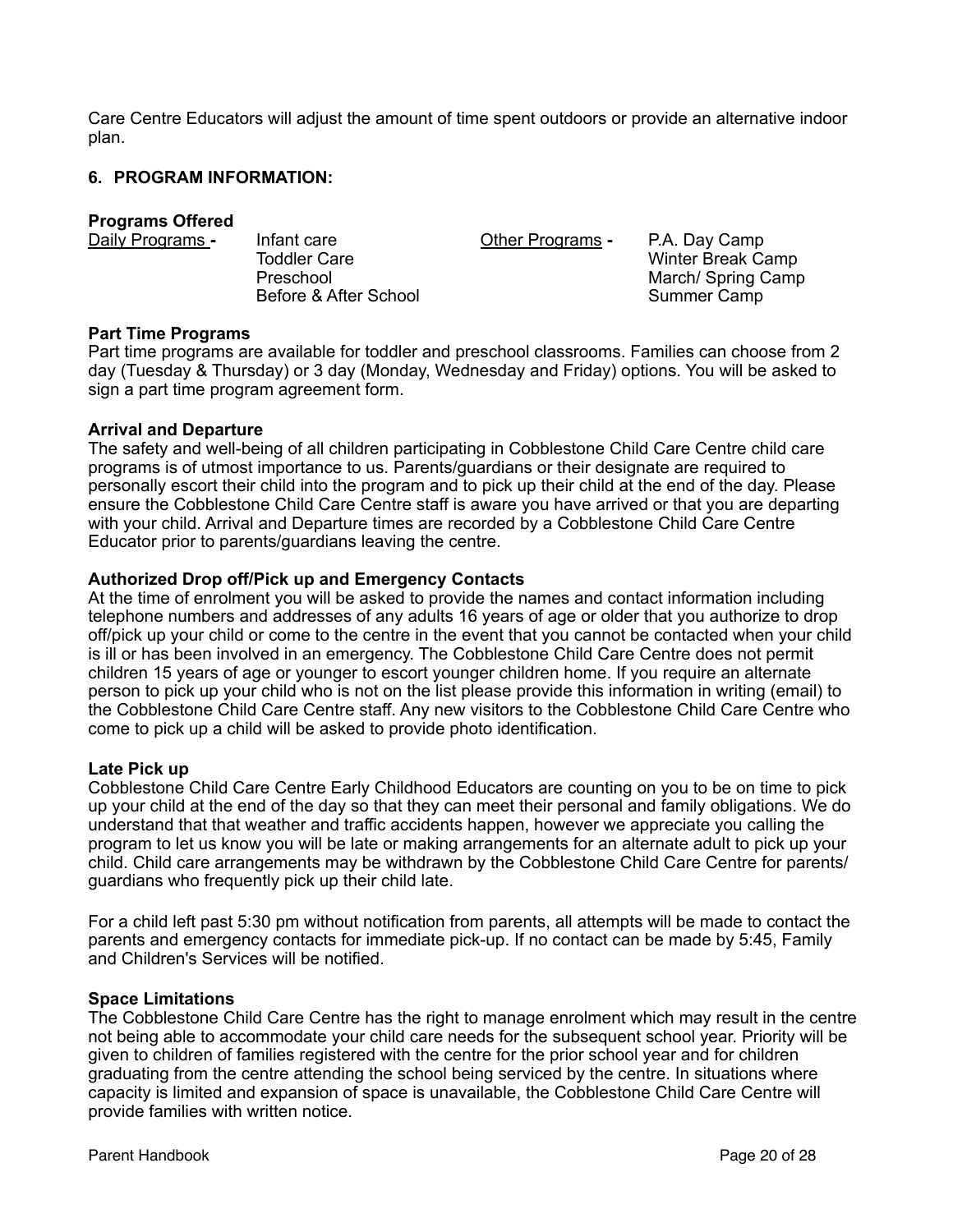Care Centre Educators will adjust the amount of time spent outdoors or provide an alternative indoor plan.

## **6. PROGRAM INFORMATION:**

#### **Programs Offered**

Daily Programs **-** Infant care Other Programs **-** P.A. Day Camp Toddler Care Winter Break Camp Preschool March/ Spring Camp Before & After School Summer Camp

#### **Part Time Programs**

Part time programs are available for toddler and preschool classrooms. Families can choose from 2 day (Tuesday & Thursday) or 3 day (Monday, Wednesday and Friday) options. You will be asked to sign a part time program agreement form.

#### **Arrival and Departure**

The safety and well-being of all children participating in Cobblestone Child Care Centre child care programs is of utmost importance to us. Parents/guardians or their designate are required to personally escort their child into the program and to pick up their child at the end of the day. Please ensure the Cobblestone Child Care Centre staff is aware you have arrived or that you are departing with your child. Arrival and Departure times are recorded by a Cobblestone Child Care Centre Educator prior to parents/guardians leaving the centre.

## **Authorized Drop off/Pick up and Emergency Contacts**

At the time of enrolment you will be asked to provide the names and contact information including telephone numbers and addresses of any adults 16 years of age or older that you authorize to drop off/pick up your child or come to the centre in the event that you cannot be contacted when your child is ill or has been involved in an emergency. The Cobblestone Child Care Centre does not permit children 15 years of age or younger to escort younger children home. If you require an alternate person to pick up your child who is not on the list please provide this information in writing (email) to the Cobblestone Child Care Centre staff. Any new visitors to the Cobblestone Child Care Centre who come to pick up a child will be asked to provide photo identification.

#### **Late Pick up**

Cobblestone Child Care Centre Early Childhood Educators are counting on you to be on time to pick up your child at the end of the day so that they can meet their personal and family obligations. We do understand that that weather and traffic accidents happen, however we appreciate you calling the program to let us know you will be late or making arrangements for an alternate adult to pick up your child. Child care arrangements may be withdrawn by the Cobblestone Child Care Centre for parents/ guardians who frequently pick up their child late.

For a child left past 5:30 pm without notification from parents, all attempts will be made to contact the parents and emergency contacts for immediate pick-up. If no contact can be made by 5:45, Family and Children's Services will be notified.

#### **Space Limitations**

The Cobblestone Child Care Centre has the right to manage enrolment which may result in the centre not being able to accommodate your child care needs for the subsequent school year. Priority will be given to children of families registered with the centre for the prior school year and for children graduating from the centre attending the school being serviced by the centre. In situations where capacity is limited and expansion of space is unavailable, the Cobblestone Child Care Centre will provide families with written notice.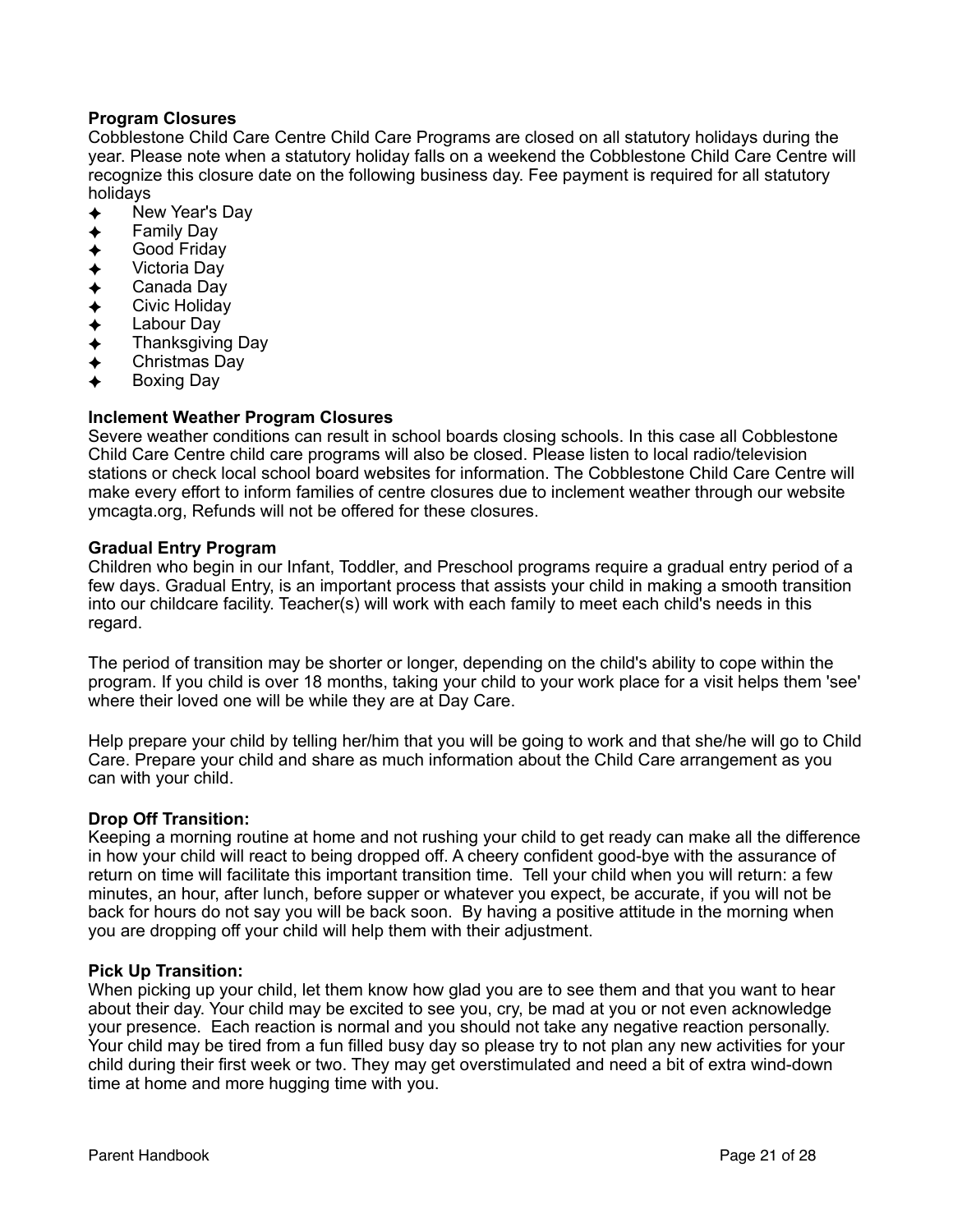## **Program Closures**

Cobblestone Child Care Centre Child Care Programs are closed on all statutory holidays during the year. Please note when a statutory holiday falls on a weekend the Cobblestone Child Care Centre will recognize this closure date on the following business day. Fee payment is required for all statutory holidays

- New Year's Day
- Family Day
- ✦ Good Friday
- 
- ← Victoria Day<br>← Canada Day<br>← Civic Holiday<br>← Thanksgiving Canada Dav
- Civic Holiday
- Labour Day
- Thanksgiving Day
- Christmas Dav
- Boxing Day

## **Inclement Weather Program Closures**

Severe weather conditions can result in school boards closing schools. In this case all Cobblestone Child Care Centre child care programs will also be closed. Please listen to local radio/television stations or check local school board websites for information. The Cobblestone Child Care Centre will make every effort to inform families of centre closures due to inclement weather through our website ymcagta.org, Refunds will not be offered for these closures.

#### **Gradual Entry Program**

Children who begin in our Infant, Toddler, and Preschool programs require a gradual entry period of a few days. Gradual Entry, is an important process that assists your child in making a smooth transition into our childcare facility. Teacher(s) will work with each family to meet each child's needs in this regard.

The period of transition may be shorter or longer, depending on the child's ability to cope within the program. If you child is over 18 months, taking your child to your work place for a visit helps them 'see' where their loved one will be while they are at Day Care.

Help prepare your child by telling her/him that you will be going to work and that she/he will go to Child Care. Prepare your child and share as much information about the Child Care arrangement as you can with your child.

#### **Drop Off Transition:**

Keeping a morning routine at home and not rushing your child to get ready can make all the difference in how your child will react to being dropped off. A cheery confident good-bye with the assurance of return on time will facilitate this important transition time. Tell your child when you will return: a few minutes, an hour, after lunch, before supper or whatever you expect, be accurate, if you will not be back for hours do not say you will be back soon. By having a positive attitude in the morning when you are dropping off your child will help them with their adjustment.

#### **Pick Up Transition:**

When picking up your child, let them know how glad you are to see them and that you want to hear about their day. Your child may be excited to see you, cry, be mad at you or not even acknowledge your presence. Each reaction is normal and you should not take any negative reaction personally. Your child may be tired from a fun filled busy day so please try to not plan any new activities for your child during their first week or two. They may get overstimulated and need a bit of extra wind-down time at home and more hugging time with you.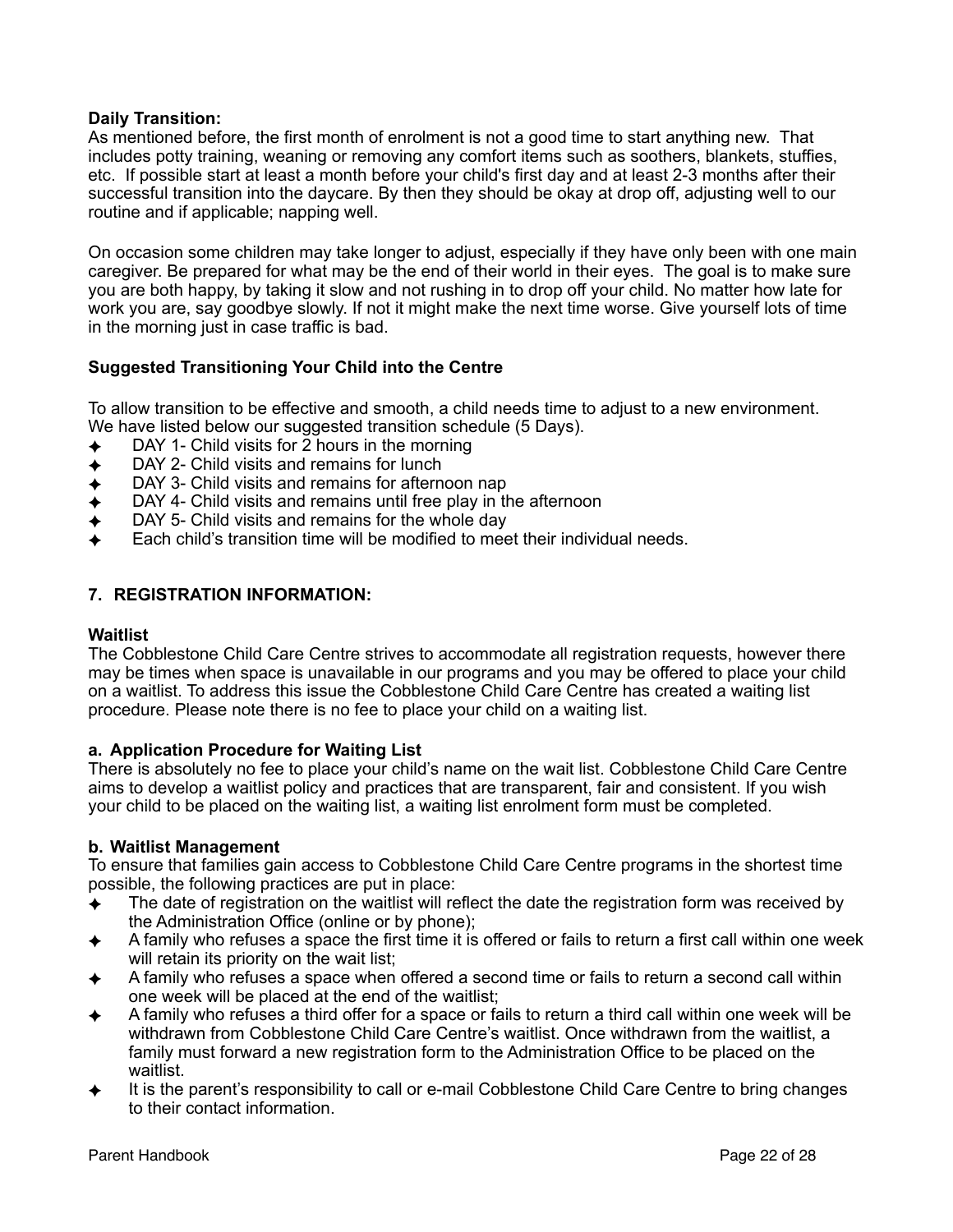# **Daily Transition:**

As mentioned before, the first month of enrolment is not a good time to start anything new. That includes potty training, weaning or removing any comfort items such as soothers, blankets, stuffies, etc. If possible start at least a month before your child's first day and at least 2-3 months after their successful transition into the daycare. By then they should be okay at drop off, adjusting well to our routine and if applicable; napping well.

On occasion some children may take longer to adjust, especially if they have only been with one main caregiver. Be prepared for what may be the end of their world in their eyes. The goal is to make sure you are both happy, by taking it slow and not rushing in to drop off your child. No matter how late for work you are, say goodbye slowly. If not it might make the next time worse. Give yourself lots of time in the morning just in case traffic is bad.

## **Suggested Transitioning Your Child into the Centre**

To allow transition to be effective and smooth, a child needs time to adjust to a new environment. We have listed below our suggested transition schedule (5 Days).

- DAY 1- Child visits for 2 hours in the morning
- DAY 2- Child visits and remains for lunch
- DAY 3- Child visits and remains for afternoon nap
- DAY 4- Child visits and remains until free play in the afternoon
- DAY 5- Child visits and remains for the whole day
- ✦ Each child's transition time will be modified to meet their individual needs.

## **7. REGISTRATION INFORMATION:**

#### **Waitlist**

The Cobblestone Child Care Centre strives to accommodate all registration requests, however there may be times when space is unavailable in our programs and you may be offered to place your child on a waitlist. To address this issue the Cobblestone Child Care Centre has created a waiting list procedure. Please note there is no fee to place your child on a waiting list.

#### **a. Application Procedure for Waiting List**

There is absolutely no fee to place your child's name on the wait list. Cobblestone Child Care Centre aims to develop a waitlist policy and practices that are transparent, fair and consistent. If you wish your child to be placed on the waiting list, a waiting list enrolment form must be completed.

#### **b. Waitlist Management**

To ensure that families gain access to Cobblestone Child Care Centre programs in the shortest time possible, the following practices are put in place:

- The date of registration on the waitlist will reflect the date the registration form was received by the Administration Office (online or by phone);
- ✦ A family who refuses a space the first time it is offered or fails to return a first call within one week will retain its priority on the wait list;
- A family who refuses a space when offered a second time or fails to return a second call within one week will be placed at the end of the waitlist;
- ✦ A family who refuses a third offer for a space or fails to return a third call within one week will be withdrawn from Cobblestone Child Care Centre's waitlist. Once withdrawn from the waitlist, a family must forward a new registration form to the Administration Office to be placed on the waitlist.
- It is the parent's responsibility to call or e-mail Cobblestone Child Care Centre to bring changes to their contact information.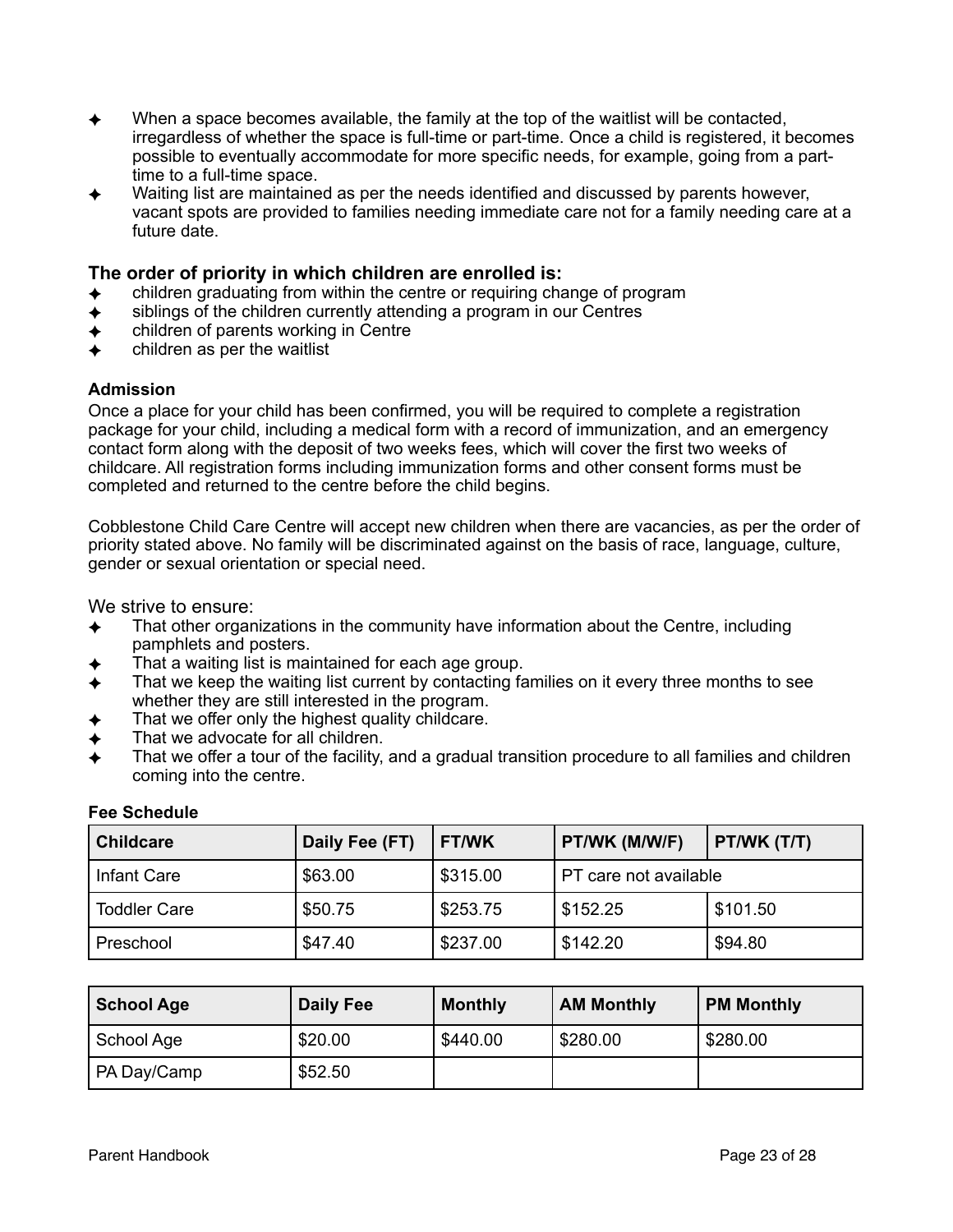- When a space becomes available, the family at the top of the waitlist will be contacted, irregardless of whether the space is full-time or part-time. Once a child is registered, it becomes possible to eventually accommodate for more specific needs, for example, going from a parttime to a full-time space.
- Waiting list are maintained as per the needs identified and discussed by parents however, vacant spots are provided to families needing immediate care not for a family needing care at a future date.

## **The order of priority in which children are enrolled is:**

- children graduating from within the centre or requiring change of program
- siblings of the children currently attending a program in our Centres
- children of parents working in Centre
- children as per the waitlist

## **Admission**

Once a place for your child has been confirmed, you will be required to complete a registration package for your child, including a medical form with a record of immunization, and an emergency contact form along with the deposit of two weeks fees, which will cover the first two weeks of childcare. All registration forms including immunization forms and other consent forms must be completed and returned to the centre before the child begins.

Cobblestone Child Care Centre will accept new children when there are vacancies, as per the order of priority stated above. No family will be discriminated against on the basis of race, language, culture, gender or sexual orientation or special need.

We strive to ensure:

- $\triangleleft$  That other organizations in the community have information about the Centre, including pamphlets and posters.
- That a waiting list is maintained for each age group.
- That we keep the waiting list current by contacting families on it every three months to see whether they are still interested in the program.
- That we offer only the highest quality childcare.
- That we advocate for all children.
- That we offer a tour of the facility, and a gradual transition procedure to all families and children coming into the centre.

| <b>Childcare</b>    | Daily Fee (FT) | <b>FT/WK</b> | PT/WK (M/W/F)         | PT/WK (T/T) |
|---------------------|----------------|--------------|-----------------------|-------------|
| Infant Care         | \$63.00        | \$315.00     | PT care not available |             |
| <b>Toddler Care</b> | \$50.75        | \$253.75     | \$152.25              | \$101.50    |
| Preschool           | \$47.40        | \$237.00     | \$142.20              | \$94.80     |

# **Fee Schedule**

| <b>School Age</b> | Daily Fee | <b>Monthly</b> | <b>AM Monthly</b> | <b>PM Monthly</b> |
|-------------------|-----------|----------------|-------------------|-------------------|
| School Age        | \$20.00   | \$440.00       | \$280.00          | \$280.00          |
| PA Day/Camp       | \$52.50   |                |                   |                   |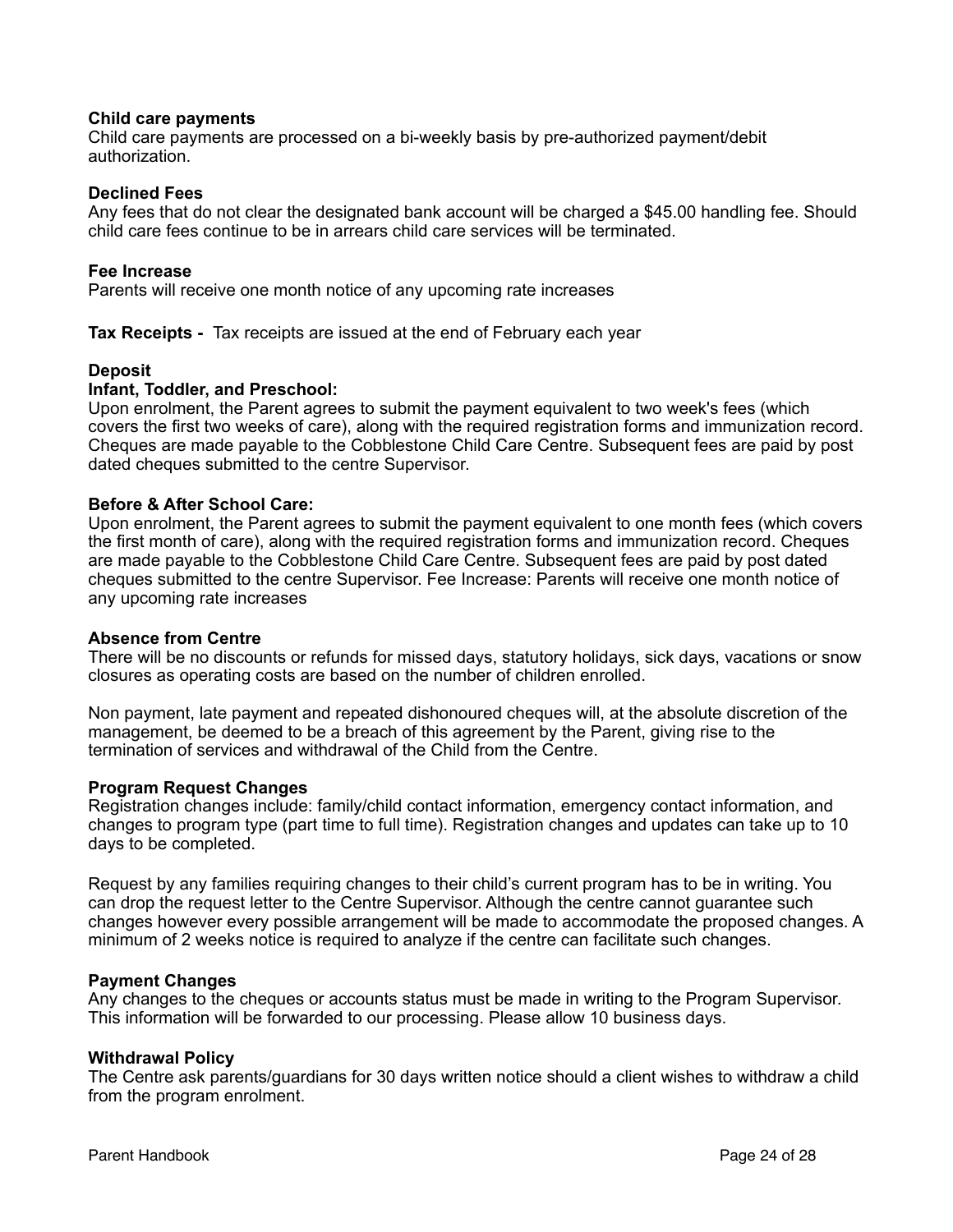#### **Child care payments**

Child care payments are processed on a bi-weekly basis by pre-authorized payment/debit authorization.

#### **Declined Fees**

Any fees that do not clear the designated bank account will be charged a \$45.00 handling fee. Should child care fees continue to be in arrears child care services will be terminated.

#### **Fee Increase**

Parents will receive one month notice of any upcoming rate increases

**Tax Receipts -** Tax receipts are issued at the end of February each year

#### **Deposit**

#### **Infant, Toddler, and Preschool:**

Upon enrolment, the Parent agrees to submit the payment equivalent to two week's fees (which covers the first two weeks of care), along with the required registration forms and immunization record. Cheques are made payable to the Cobblestone Child Care Centre. Subsequent fees are paid by post dated cheques submitted to the centre Supervisor.

#### **Before & After School Care:**

Upon enrolment, the Parent agrees to submit the payment equivalent to one month fees (which covers the first month of care), along with the required registration forms and immunization record. Cheques are made payable to the Cobblestone Child Care Centre. Subsequent fees are paid by post dated cheques submitted to the centre Supervisor. Fee Increase: Parents will receive one month notice of any upcoming rate increases

#### **Absence from Centre**

There will be no discounts or refunds for missed days, statutory holidays, sick days, vacations or snow closures as operating costs are based on the number of children enrolled.

Non payment, late payment and repeated dishonoured cheques will, at the absolute discretion of the management, be deemed to be a breach of this agreement by the Parent, giving rise to the termination of services and withdrawal of the Child from the Centre.

#### **Program Request Changes**

Registration changes include: family/child contact information, emergency contact information, and changes to program type (part time to full time). Registration changes and updates can take up to 10 days to be completed.

Request by any families requiring changes to their child's current program has to be in writing. You can drop the request letter to the Centre Supervisor. Although the centre cannot guarantee such changes however every possible arrangement will be made to accommodate the proposed changes. A minimum of 2 weeks notice is required to analyze if the centre can facilitate such changes.

#### **Payment Changes**

Any changes to the cheques or accounts status must be made in writing to the Program Supervisor. This information will be forwarded to our processing. Please allow 10 business days.

#### **Withdrawal Policy**

The Centre ask parents/guardians for 30 days written notice should a client wishes to withdraw a child from the program enrolment.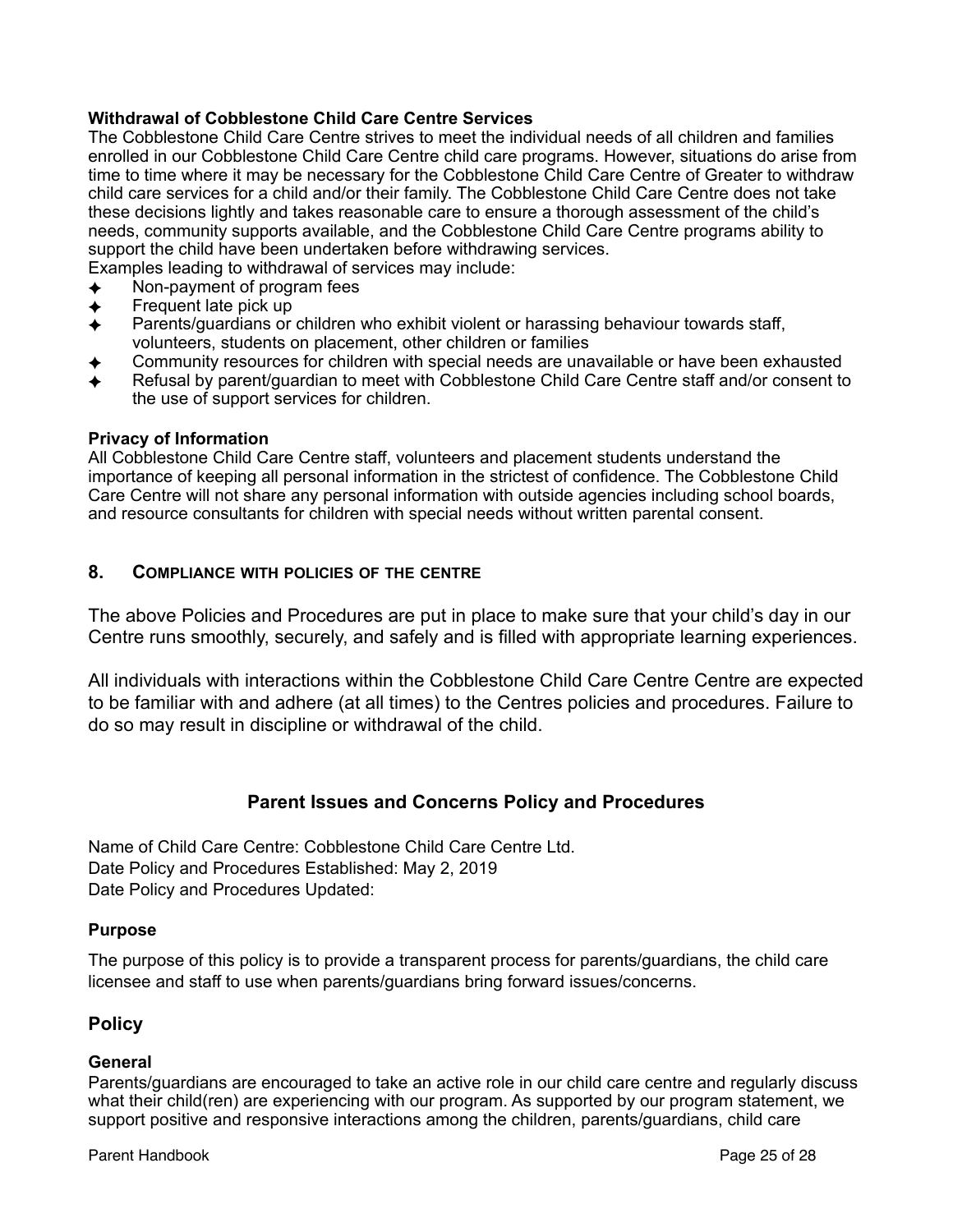# **Withdrawal of Cobblestone Child Care Centre Services**

The Cobblestone Child Care Centre strives to meet the individual needs of all children and families enrolled in our Cobblestone Child Care Centre child care programs. However, situations do arise from time to time where it may be necessary for the Cobblestone Child Care Centre of Greater to withdraw child care services for a child and/or their family. The Cobblestone Child Care Centre does not take these decisions lightly and takes reasonable care to ensure a thorough assessment of the child's needs, community supports available, and the Cobblestone Child Care Centre programs ability to support the child have been undertaken before withdrawing services. Examples leading to withdrawal of services may include:

- ✦ Non-payment of program fees
- $\leftarrow$  Frequent late pick up
- ✦ Parents/guardians or children who exhibit violent or harassing behaviour towards staff, volunteers, students on placement, other children or families
- ✦ Community resources for children with special needs are unavailable or have been exhausted
- Refusal by parent/guardian to meet with Cobblestone Child Care Centre staff and/or consent to the use of support services for children.

## **Privacy of Information**

All Cobblestone Child Care Centre staff, volunteers and placement students understand the importance of keeping all personal information in the strictest of confidence. The Cobblestone Child Care Centre will not share any personal information with outside agencies including school boards, and resource consultants for children with special needs without written parental consent.

## **8. COMPLIANCE WITH POLICIES OF THE CENTRE**

The above Policies and Procedures are put in place to make sure that your child's day in our Centre runs smoothly, securely, and safely and is filled with appropriate learning experiences.

All individuals with interactions within the Cobblestone Child Care Centre Centre are expected to be familiar with and adhere (at all times) to the Centres policies and procedures. Failure to do so may result in discipline or withdrawal of the child.

# **Parent Issues and Concerns Policy and Procedures**

Name of Child Care Centre: Cobblestone Child Care Centre Ltd. Date Policy and Procedures Established: May 2, 2019 Date Policy and Procedures Updated:

#### **Purpose**

The purpose of this policy is to provide a transparent process for parents/guardians, the child care licensee and staff to use when parents/guardians bring forward issues/concerns.

# **Policy**

#### **General**

Parents/guardians are encouraged to take an active role in our child care centre and regularly discuss what their child(ren) are experiencing with our program. As supported by our program statement, we support positive and responsive interactions among the children, parents/guardians, child care

Parent Handbook **Page 25 of 28**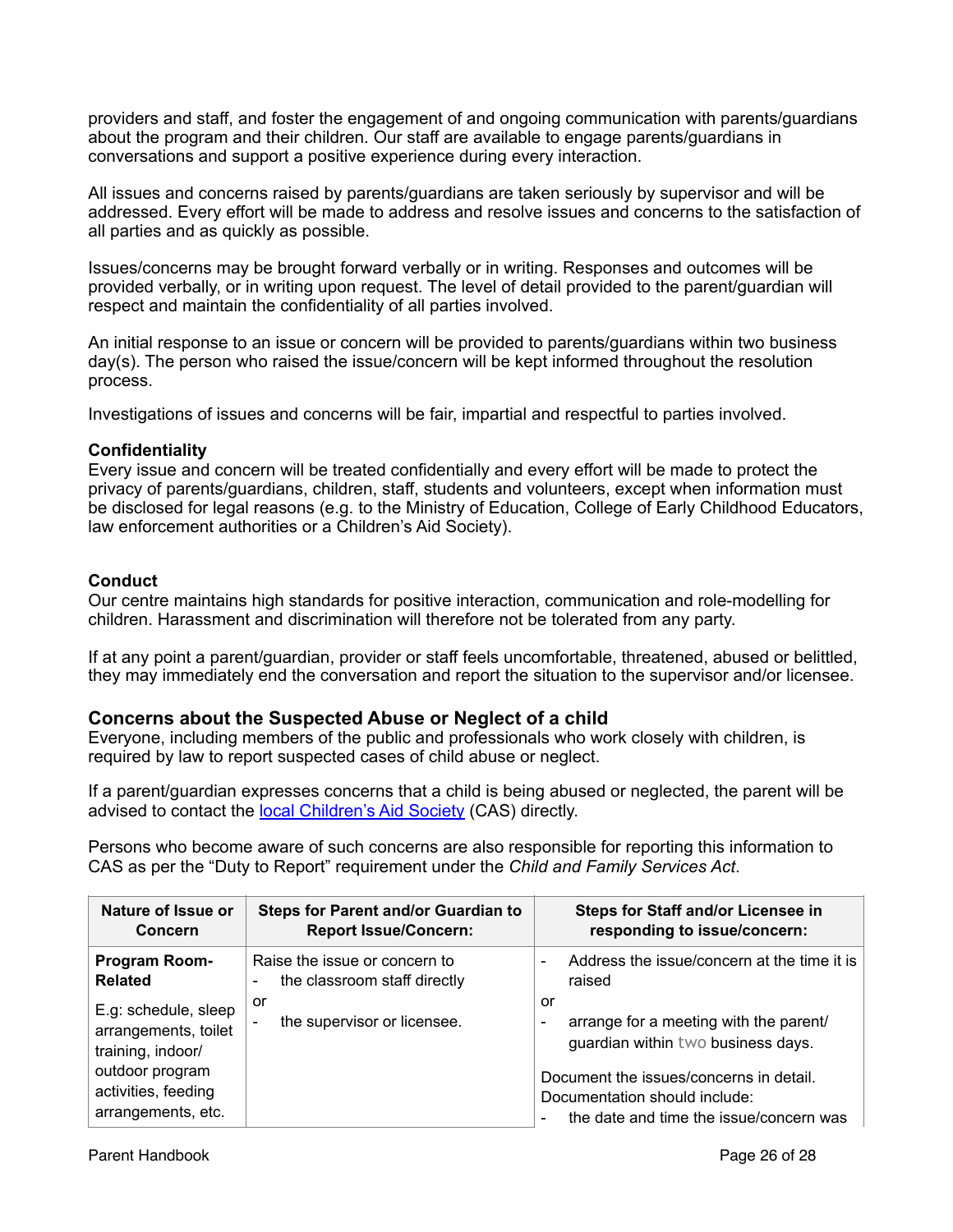providers and staff, and foster the engagement of and ongoing communication with parents/guardians about the program and their children. Our staff are available to engage parents/guardians in conversations and support a positive experience during every interaction.

All issues and concerns raised by parents/guardians are taken seriously by supervisor and will be addressed. Every effort will be made to address and resolve issues and concerns to the satisfaction of all parties and as quickly as possible.

Issues/concerns may be brought forward verbally or in writing. Responses and outcomes will be provided verbally, or in writing upon request. The level of detail provided to the parent/guardian will respect and maintain the confidentiality of all parties involved.

An initial response to an issue or concern will be provided to parents/guardians within two business day(s). The person who raised the issue/concern will be kept informed throughout the resolution process.

Investigations of issues and concerns will be fair, impartial and respectful to parties involved.

## **Confidentiality**

Every issue and concern will be treated confidentially and every effort will be made to protect the privacy of parents/guardians, children, staff, students and volunteers, except when information must be disclosed for legal reasons (e.g. to the Ministry of Education, College of Early Childhood Educators, law enforcement authorities or a Children's Aid Society).

# **Conduct**

Our centre maintains high standards for positive interaction, communication and role-modelling for children. Harassment and discrimination will therefore not be tolerated from any party.

If at any point a parent/guardian, provider or staff feels uncomfortable, threatened, abused or belittled, they may immediately end the conversation and report the situation to the supervisor and/or licensee.

# **Concerns about the Suspected Abuse or Neglect of a child**

Everyone, including members of the public and professionals who work closely with children, is required by law to report suspected cases of child abuse or neglect.

If a parent/guardian expresses concerns that a child is being abused or neglected, the parent will be advised to contact the [local Children's Aid Society](http://www.children.gov.on.ca/htdocs/English/childrensaid/reportingabuse/CASLocations.aspx) (CAS) directly.

Persons who become aware of such concerns are also responsible for reporting this information to CAS as per the "Duty to Report" requirement under the *Child and Family Services Act*.

| Nature of Issue or<br>Concern                                                                                                     | <b>Steps for Parent and/or Guardian to</b><br><b>Report Issue/Concern:</b>                | Steps for Staff and/or Licensee in<br>responding to issue/concern:                                                                                                                                                                    |
|-----------------------------------------------------------------------------------------------------------------------------------|-------------------------------------------------------------------------------------------|---------------------------------------------------------------------------------------------------------------------------------------------------------------------------------------------------------------------------------------|
| Program Room-<br><b>Related</b>                                                                                                   | Raise the issue or concern to<br>the classroom staff directly<br>$\overline{\phantom{a}}$ | Address the issue/concern at the time it is<br>$\blacksquare$<br>raised                                                                                                                                                               |
| E.g: schedule, sleep<br>arrangements, toilet<br>training, indoor/<br>outdoor program<br>activities, feeding<br>arrangements, etc. | or<br>the supervisor or licensee.                                                         | or<br>arrange for a meeting with the parent/<br>$\overline{\phantom{a}}$<br>guardian within two business days.<br>Document the issues/concerns in detail.<br>Documentation should include:<br>the date and time the issue/concern was |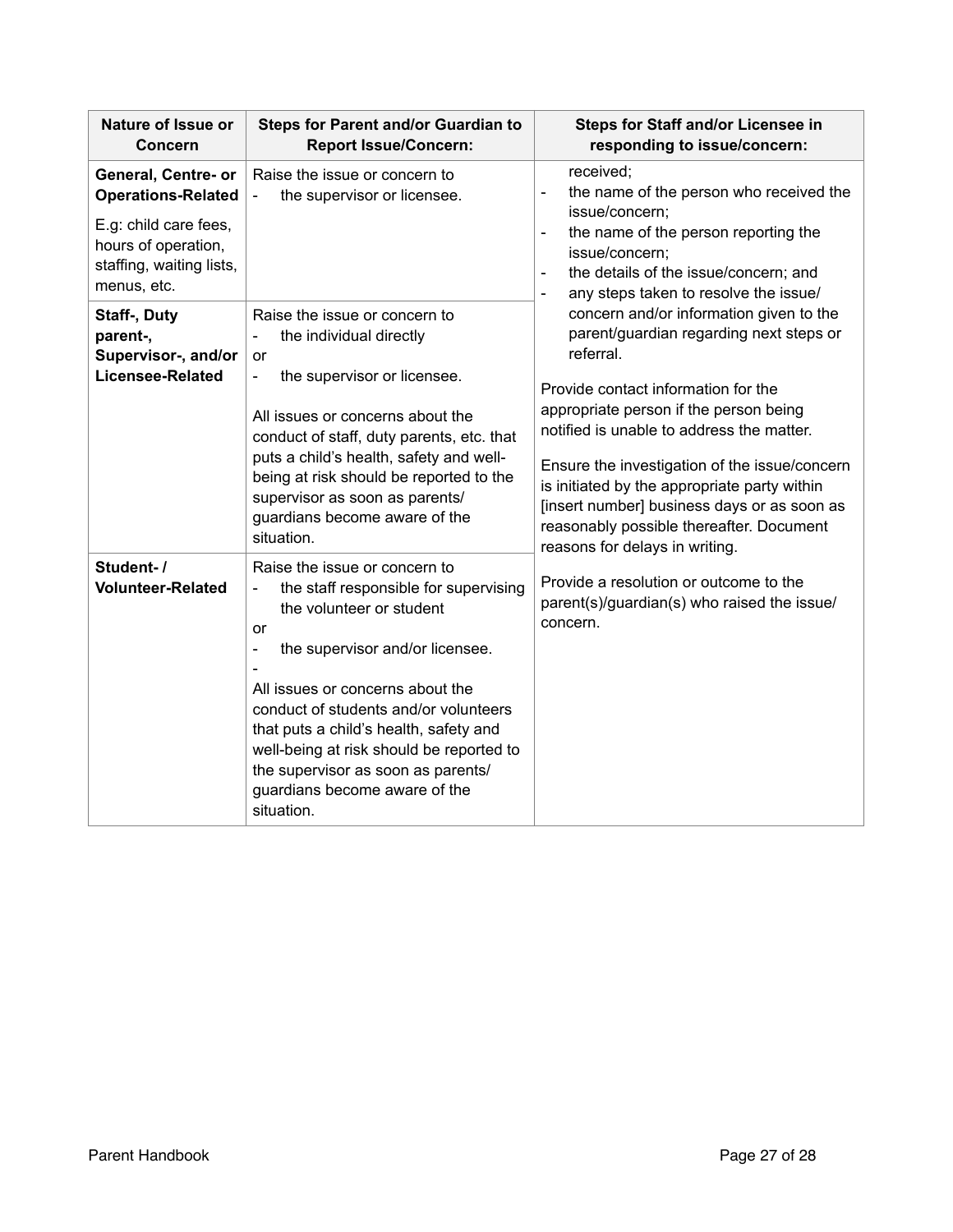| Nature of Issue or<br>Concern                                                                                                               | <b>Steps for Parent and/or Guardian to</b><br><b>Report Issue/Concern:</b>                                                                                                                                                                                                                                                                                                                                                              | Steps for Staff and/or Licensee in<br>responding to issue/concern:                                                                                                                                                                                                                                                                                                                                                                                          |
|---------------------------------------------------------------------------------------------------------------------------------------------|-----------------------------------------------------------------------------------------------------------------------------------------------------------------------------------------------------------------------------------------------------------------------------------------------------------------------------------------------------------------------------------------------------------------------------------------|-------------------------------------------------------------------------------------------------------------------------------------------------------------------------------------------------------------------------------------------------------------------------------------------------------------------------------------------------------------------------------------------------------------------------------------------------------------|
| General, Centre- or<br><b>Operations-Related</b><br>E.g: child care fees,<br>hours of operation,<br>staffing, waiting lists,<br>menus, etc. | Raise the issue or concern to<br>the supervisor or licensee.<br>$\overline{a}$                                                                                                                                                                                                                                                                                                                                                          | received:<br>the name of the person who received the<br>issue/concern;<br>the name of the person reporting the<br>$\overline{\phantom{a}}$<br>issue/concern;<br>the details of the issue/concern; and<br>$\qquad \qquad \blacksquare$<br>any steps taken to resolve the issue/<br>$\blacksquare$                                                                                                                                                            |
| <b>Staff-, Duty</b><br>parent-,<br>Supervisor-, and/or<br><b>Licensee-Related</b>                                                           | Raise the issue or concern to<br>the individual directly<br><b>or</b><br>the supervisor or licensee.<br>$\blacksquare$<br>All issues or concerns about the<br>conduct of staff, duty parents, etc. that<br>puts a child's health, safety and well-<br>being at risk should be reported to the<br>supervisor as soon as parents/<br>guardians become aware of the<br>situation.                                                          | concern and/or information given to the<br>parent/guardian regarding next steps or<br>referral.<br>Provide contact information for the<br>appropriate person if the person being<br>notified is unable to address the matter.<br>Ensure the investigation of the issue/concern<br>is initiated by the appropriate party within<br>[insert number] business days or as soon as<br>reasonably possible thereafter. Document<br>reasons for delays in writing. |
| Student-/<br><b>Volunteer-Related</b>                                                                                                       | Raise the issue or concern to<br>the staff responsible for supervising<br>$\blacksquare$<br>the volunteer or student<br>or<br>the supervisor and/or licensee.<br>$\blacksquare$<br>All issues or concerns about the<br>conduct of students and/or volunteers<br>that puts a child's health, safety and<br>well-being at risk should be reported to<br>the supervisor as soon as parents/<br>guardians become aware of the<br>situation. | Provide a resolution or outcome to the<br>parent(s)/guardian(s) who raised the issue/<br>concern.                                                                                                                                                                                                                                                                                                                                                           |